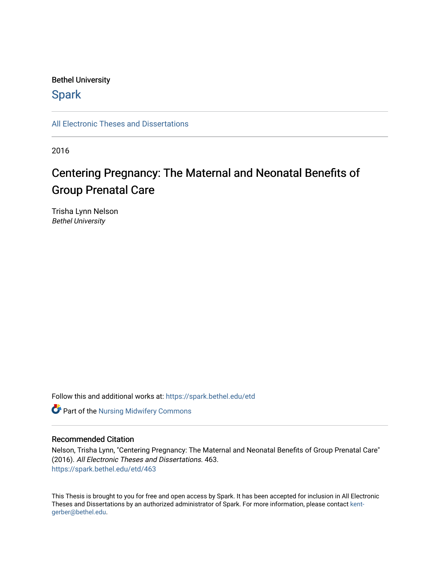#### Bethel University

## **Spark**

[All Electronic Theses and Dissertations](https://spark.bethel.edu/etd) 

2016

# Centering Pregnancy: The Maternal and Neonatal Benefits of Group Prenatal Care

Trisha Lynn Nelson Bethel University

Follow this and additional works at: [https://spark.bethel.edu/etd](https://spark.bethel.edu/etd?utm_source=spark.bethel.edu%2Fetd%2F463&utm_medium=PDF&utm_campaign=PDFCoverPages)

**Part of the Nursing Midwifery Commons** 

#### Recommended Citation

Nelson, Trisha Lynn, "Centering Pregnancy: The Maternal and Neonatal Benefits of Group Prenatal Care" (2016). All Electronic Theses and Dissertations. 463. [https://spark.bethel.edu/etd/463](https://spark.bethel.edu/etd/463?utm_source=spark.bethel.edu%2Fetd%2F463&utm_medium=PDF&utm_campaign=PDFCoverPages)

This Thesis is brought to you for free and open access by Spark. It has been accepted for inclusion in All Electronic Theses and Dissertations by an authorized administrator of Spark. For more information, please contact [kent](mailto:kent-gerber@bethel.edu)[gerber@bethel.edu.](mailto:kent-gerber@bethel.edu)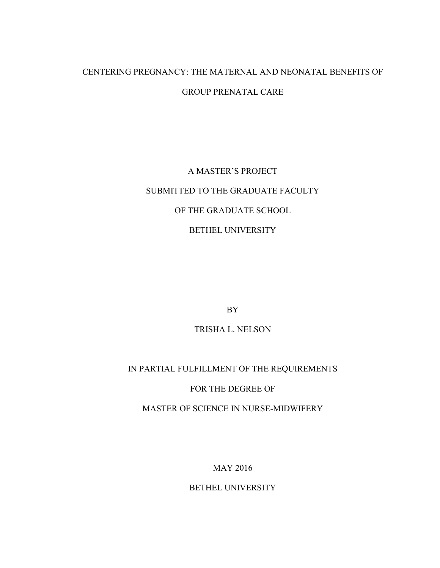## CENTERING PREGNANCY: THE MATERNAL AND NEONATAL BENEFITS OF GROUP PRENATAL CARE

# A MASTER'S PROJECT SUBMITTED TO THE GRADUATE FACULTY OF THE GRADUATE SCHOOL BETHEL UNIVERSITY

BY

TRISHA L. NELSON

## IN PARTIAL FULFILLMENT OF THE REQUIREMENTS

## FOR THE DEGREE OF

MASTER OF SCIENCE IN NURSE-MIDWIFERY

MAY 2016

BETHEL UNIVERSITY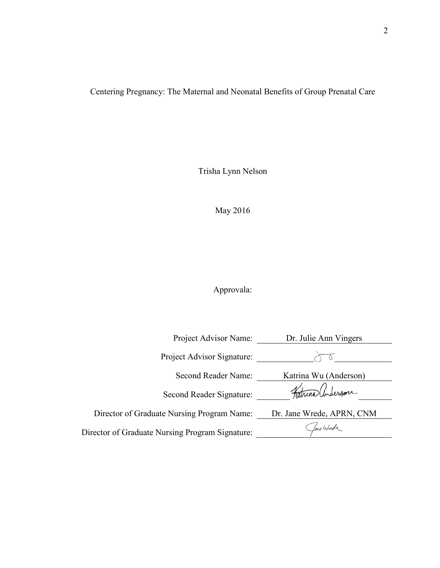Centering Pregnancy: The Maternal and Neonatal Benefits of Group Prenatal Care

Trisha Lynn Nelson

May 2016

Approvala:

| Project Advisor Name:                           | Dr. Julie Ann Vingers     |
|-------------------------------------------------|---------------------------|
| Project Advisor Signature:                      | <b>AAAmmad</b>            |
| Second Reader Name:                             | Katrina Wu (Anderson)     |
| Second Reader Signature:                        | Tatrina Underson          |
| Director of Graduate Nursing Program Name:      | Dr. Jane Wrede, APRN, CNM |
| Director of Graduate Nursing Program Signature: | lane Wurde                |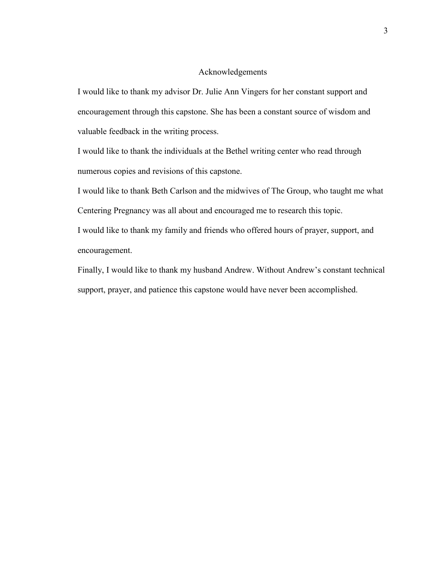#### Acknowledgements

I would like to thank my advisor Dr. Julie Ann Vingers for her constant support and encouragement through this capstone. She has been a constant source of wisdom and valuable feedback in the writing process.

I would like to thank the individuals at the Bethel writing center who read through numerous copies and revisions of this capstone.

I would like to thank Beth Carlson and the midwives of The Group, who taught me what

Centering Pregnancy was all about and encouraged me to research this topic.

I would like to thank my family and friends who offered hours of prayer, support, and encouragement.

Finally, I would like to thank my husband Andrew. Without Andrew's constant technical support, prayer, and patience this capstone would have never been accomplished.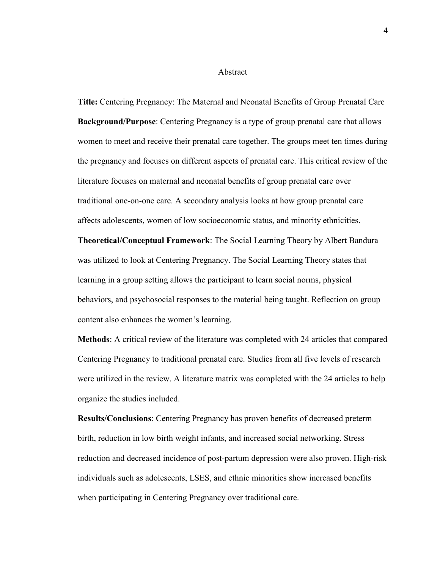#### Abstract

**Title:** Centering Pregnancy: The Maternal and Neonatal Benefits of Group Prenatal Care **Background/Purpose**: Centering Pregnancy is a type of group prenatal care that allows women to meet and receive their prenatal care together. The groups meet ten times during the pregnancy and focuses on different aspects of prenatal care. This critical review of the literature focuses on maternal and neonatal benefits of group prenatal care over traditional one-on-one care. A secondary analysis looks at how group prenatal care affects adolescents, women of low socioeconomic status, and minority ethnicities.

**Theoretical/Conceptual Framework**: The Social Learning Theory by Albert Bandura was utilized to look at Centering Pregnancy. The Social Learning Theory states that learning in a group setting allows the participant to learn social norms, physical behaviors, and psychosocial responses to the material being taught. Reflection on group content also enhances the women's learning.

**Methods**: A critical review of the literature was completed with 24 articles that compared Centering Pregnancy to traditional prenatal care. Studies from all five levels of research were utilized in the review. A literature matrix was completed with the 24 articles to help organize the studies included.

**Results/Conclusions**: Centering Pregnancy has proven benefits of decreased preterm birth, reduction in low birth weight infants, and increased social networking. Stress reduction and decreased incidence of post-partum depression were also proven. High-risk individuals such as adolescents, LSES, and ethnic minorities show increased benefits when participating in Centering Pregnancy over traditional care.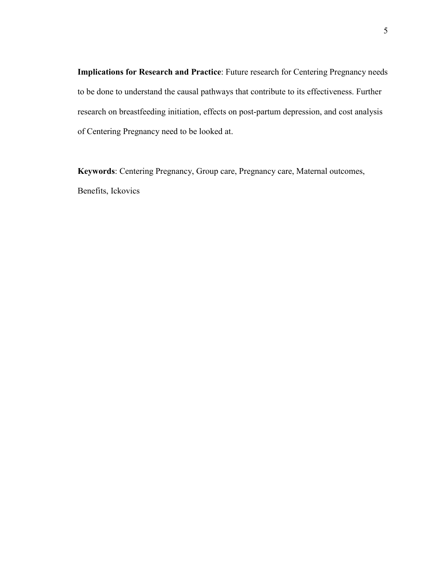**Implications for Research and Practice**: Future research for Centering Pregnancy needs to be done to understand the causal pathways that contribute to its effectiveness. Further research on breastfeeding initiation, effects on post-partum depression, and cost analysis of Centering Pregnancy need to be looked at.

**Keywords**: Centering Pregnancy, Group care, Pregnancy care, Maternal outcomes, Benefits, Ickovics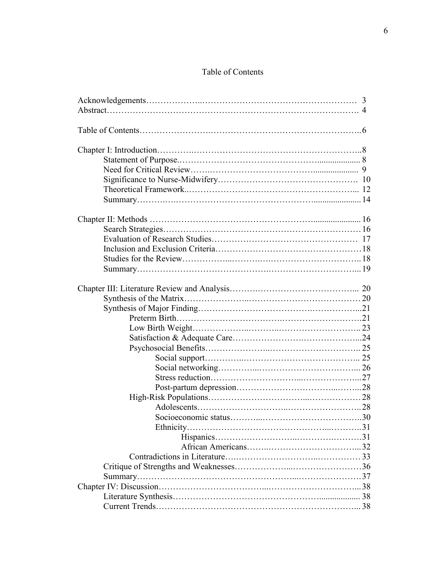### Table of Contents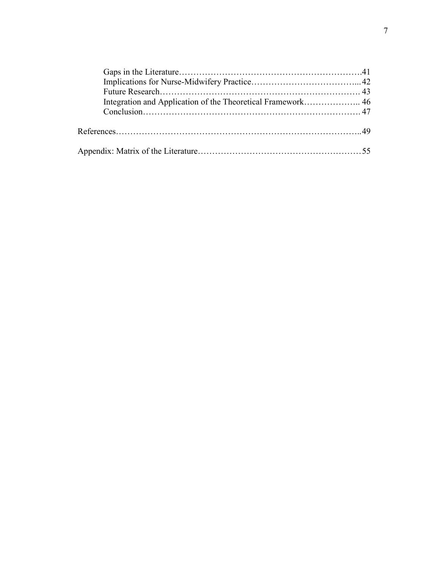| Integration and Application of the Theoretical Framework 46 |  |
|-------------------------------------------------------------|--|
|                                                             |  |
|                                                             |  |
|                                                             |  |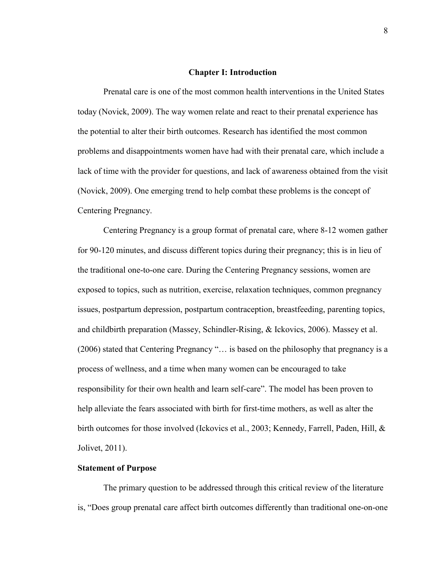#### **Chapter I: Introduction**

Prenatal care is one of the most common health interventions in the United States today (Novick, 2009). The way women relate and react to their prenatal experience has the potential to alter their birth outcomes. Research has identified the most common problems and disappointments women have had with their prenatal care, which include a lack of time with the provider for questions, and lack of awareness obtained from the visit (Novick, 2009). One emerging trend to help combat these problems is the concept of Centering Pregnancy.

Centering Pregnancy is a group format of prenatal care, where 8-12 women gather for 90-120 minutes, and discuss different topics during their pregnancy; this is in lieu of the traditional one-to-one care. During the Centering Pregnancy sessions, women are exposed to topics, such as nutrition, exercise, relaxation techniques, common pregnancy issues, postpartum depression, postpartum contraception, breastfeeding, parenting topics, and childbirth preparation (Massey, Schindler-Rising, & Ickovics, 2006). Massey et al. (2006) stated that Centering Pregnancy "… is based on the philosophy that pregnancy is a process of wellness, and a time when many women can be encouraged to take responsibility for their own health and learn self-care". The model has been proven to help alleviate the fears associated with birth for first-time mothers, as well as alter the birth outcomes for those involved (Ickovics et al., 2003; Kennedy, Farrell, Paden, Hill, & Jolivet, 2011).

#### **Statement of Purpose**

The primary question to be addressed through this critical review of the literature is, "Does group prenatal care affect birth outcomes differently than traditional one-on-one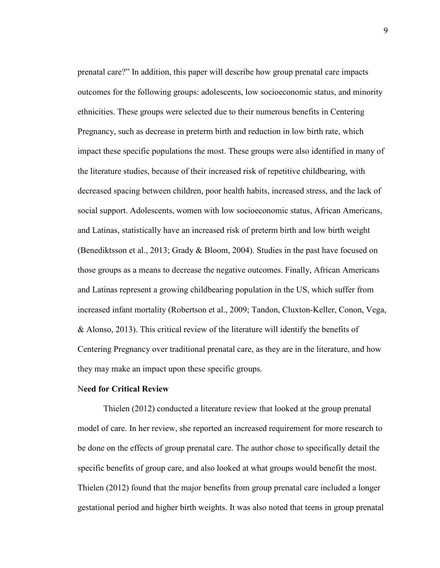prenatal care?" In addition, this paper will describe how group prenatal care impacts outcomes for the following groups: adolescents, low socioeconomic status, and minority ethnicities. These groups were selected due to their numerous benefits in Centering Pregnancy, such as decrease in preterm birth and reduction in low birth rate, which impact these specific populations the most. These groups were also identified in many of the literature studies, because of their increased risk of repetitive childbearing, with decreased spacing between children, poor health habits, increased stress, and the lack of social support. Adolescents, women with low socioeconomic status, African Americans, and Latinas, statistically have an increased risk of preterm birth and low birth weight (Benediktsson et al., 2013; Grady & Bloom, 2004). Studies in the past have focused on those groups as a means to decrease the negative outcomes. Finally, African Americans and Latinas represent a growing childbearing population in the US, which suffer from increased infant mortality (Robertson et al., 2009; Tandon, Cluxton-Keller, Conon, Vega, & Alonso, 2013). This critical review of the literature will identify the benefits of Centering Pregnancy over traditional prenatal care, as they are in the literature, and how they may make an impact upon these specific groups.

#### N**eed for Critical Review**

Thielen (2012) conducted a literature review that looked at the group prenatal model of care. In her review, she reported an increased requirement for more research to be done on the effects of group prenatal care. The author chose to specifically detail the specific benefits of group care, and also looked at what groups would benefit the most. Thielen (2012) found that the major benefits from group prenatal care included a longer gestational period and higher birth weights. It was also noted that teens in group prenatal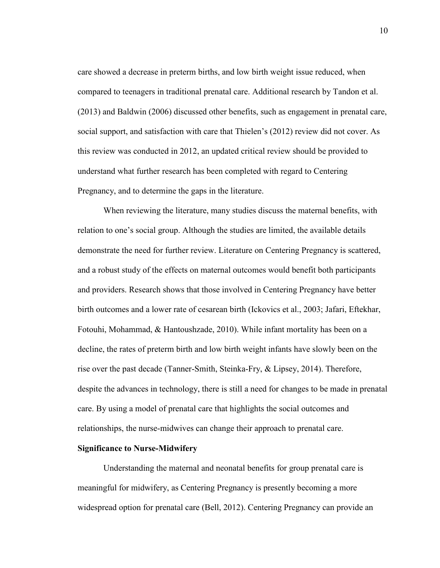care showed a decrease in preterm births, and low birth weight issue reduced, when compared to teenagers in traditional prenatal care. Additional research by Tandon et al. (2013) and Baldwin (2006) discussed other benefits, such as engagement in prenatal care, social support, and satisfaction with care that Thielen's (2012) review did not cover. As this review was conducted in 2012, an updated critical review should be provided to understand what further research has been completed with regard to Centering Pregnancy, and to determine the gaps in the literature.

When reviewing the literature, many studies discuss the maternal benefits, with relation to one's social group. Although the studies are limited, the available details demonstrate the need for further review. Literature on Centering Pregnancy is scattered, and a robust study of the effects on maternal outcomes would benefit both participants and providers. Research shows that those involved in Centering Pregnancy have better birth outcomes and a lower rate of cesarean birth (Ickovics et al., 2003; Jafari, Eftekhar, Fotouhi, Mohammad, & Hantoushzade, 2010). While infant mortality has been on a decline, the rates of preterm birth and low birth weight infants have slowly been on the rise over the past decade (Tanner-Smith, Steinka-Fry, & Lipsey, 2014). Therefore, despite the advances in technology, there is still a need for changes to be made in prenatal care. By using a model of prenatal care that highlights the social outcomes and relationships, the nurse-midwives can change their approach to prenatal care.

#### **Significance to Nurse-Midwifery**

 Understanding the maternal and neonatal benefits for group prenatal care is meaningful for midwifery, as Centering Pregnancy is presently becoming a more widespread option for prenatal care (Bell, 2012). Centering Pregnancy can provide an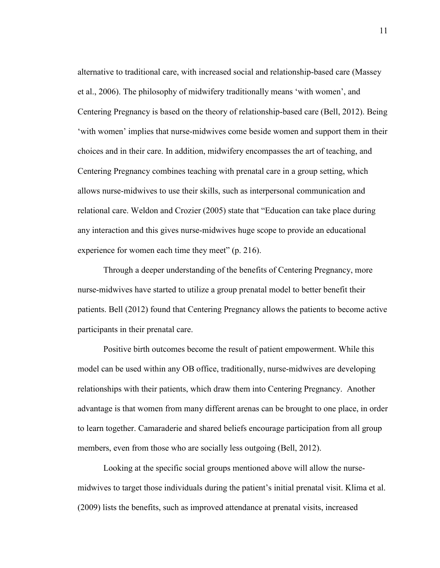alternative to traditional care, with increased social and relationship-based care (Massey et al., 2006). The philosophy of midwifery traditionally means 'with women', and Centering Pregnancy is based on the theory of relationship-based care (Bell, 2012). Being 'with women' implies that nurse-midwives come beside women and support them in their choices and in their care. In addition, midwifery encompasses the art of teaching, and Centering Pregnancy combines teaching with prenatal care in a group setting, which allows nurse-midwives to use their skills, such as interpersonal communication and relational care. Weldon and Crozier (2005) state that "Education can take place during any interaction and this gives nurse-midwives huge scope to provide an educational experience for women each time they meet" (p. 216).

 Through a deeper understanding of the benefits of Centering Pregnancy, more nurse-midwives have started to utilize a group prenatal model to better benefit their patients. Bell (2012) found that Centering Pregnancy allows the patients to become active participants in their prenatal care.

Positive birth outcomes become the result of patient empowerment. While this model can be used within any OB office, traditionally, nurse-midwives are developing relationships with their patients, which draw them into Centering Pregnancy. Another advantage is that women from many different arenas can be brought to one place, in order to learn together. Camaraderie and shared beliefs encourage participation from all group members, even from those who are socially less outgoing (Bell, 2012).

 Looking at the specific social groups mentioned above will allow the nursemidwives to target those individuals during the patient's initial prenatal visit. Klima et al. (2009) lists the benefits, such as improved attendance at prenatal visits, increased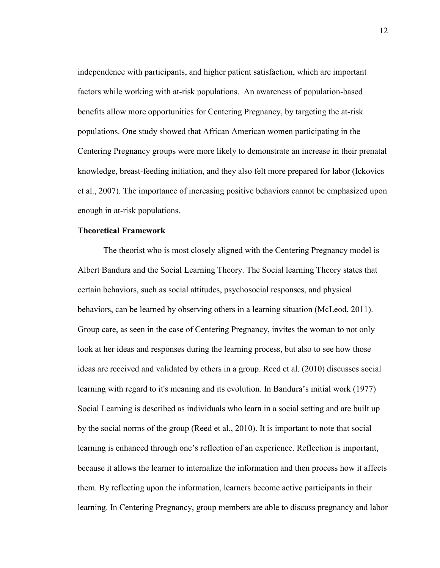independence with participants, and higher patient satisfaction, which are important factors while working with at-risk populations. An awareness of population-based benefits allow more opportunities for Centering Pregnancy, by targeting the at-risk populations. One study showed that African American women participating in the Centering Pregnancy groups were more likely to demonstrate an increase in their prenatal knowledge, breast-feeding initiation, and they also felt more prepared for labor (Ickovics et al., 2007). The importance of increasing positive behaviors cannot be emphasized upon enough in at-risk populations.

#### **Theoretical Framework**

The theorist who is most closely aligned with the Centering Pregnancy model is Albert Bandura and the Social Learning Theory. The Social learning Theory states that certain behaviors, such as social attitudes, psychosocial responses, and physical behaviors, can be learned by observing others in a learning situation (McLeod, 2011). Group care, as seen in the case of Centering Pregnancy, invites the woman to not only look at her ideas and responses during the learning process, but also to see how those ideas are received and validated by others in a group. Reed et al. (2010) discusses social learning with regard to it's meaning and its evolution. In Bandura's initial work (1977) Social Learning is described as individuals who learn in a social setting and are built up by the social norms of the group (Reed et al., 2010). It is important to note that social learning is enhanced through one's reflection of an experience. Reflection is important, because it allows the learner to internalize the information and then process how it affects them. By reflecting upon the information, learners become active participants in their learning. In Centering Pregnancy, group members are able to discuss pregnancy and labor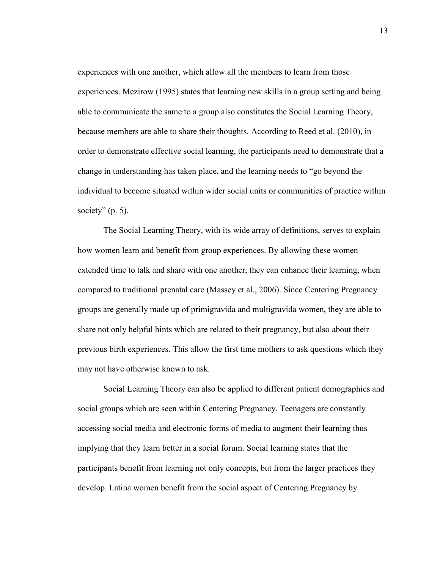experiences with one another, which allow all the members to learn from those experiences. Mezirow (1995) states that learning new skills in a group setting and being able to communicate the same to a group also constitutes the Social Learning Theory, because members are able to share their thoughts. According to Reed et al. (2010), in order to demonstrate effective social learning, the participants need to demonstrate that a change in understanding has taken place, and the learning needs to "go beyond the individual to become situated within wider social units or communities of practice within society"  $(p. 5)$ .

The Social Learning Theory, with its wide array of definitions, serves to explain how women learn and benefit from group experiences. By allowing these women extended time to talk and share with one another, they can enhance their learning, when compared to traditional prenatal care (Massey et al., 2006). Since Centering Pregnancy groups are generally made up of primigravida and multigravida women, they are able to share not only helpful hints which are related to their pregnancy, but also about their previous birth experiences. This allow the first time mothers to ask questions which they may not have otherwise known to ask.

Social Learning Theory can also be applied to different patient demographics and social groups which are seen within Centering Pregnancy. Teenagers are constantly accessing social media and electronic forms of media to augment their learning thus implying that they learn better in a social forum. Social learning states that the participants benefit from learning not only concepts, but from the larger practices they develop. Latina women benefit from the social aspect of Centering Pregnancy by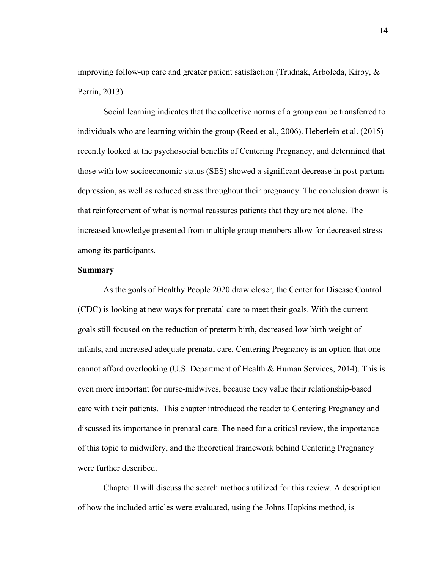improving follow-up care and greater patient satisfaction (Trudnak, Arboleda, Kirby, & Perrin, 2013).

Social learning indicates that the collective norms of a group can be transferred to individuals who are learning within the group (Reed et al., 2006). Heberlein et al. (2015) recently looked at the psychosocial benefits of Centering Pregnancy, and determined that those with low socioeconomic status (SES) showed a significant decrease in post-partum depression, as well as reduced stress throughout their pregnancy. The conclusion drawn is that reinforcement of what is normal reassures patients that they are not alone. The increased knowledge presented from multiple group members allow for decreased stress among its participants.

#### **Summary**

As the goals of Healthy People 2020 draw closer, the Center for Disease Control (CDC) is looking at new ways for prenatal care to meet their goals. With the current goals still focused on the reduction of preterm birth, decreased low birth weight of infants, and increased adequate prenatal care, Centering Pregnancy is an option that one cannot afford overlooking (U.S. Department of Health & Human Services, 2014). This is even more important for nurse-midwives, because they value their relationship-based care with their patients. This chapter introduced the reader to Centering Pregnancy and discussed its importance in prenatal care. The need for a critical review, the importance of this topic to midwifery, and the theoretical framework behind Centering Pregnancy were further described.

Chapter II will discuss the search methods utilized for this review. A description of how the included articles were evaluated, using the Johns Hopkins method, is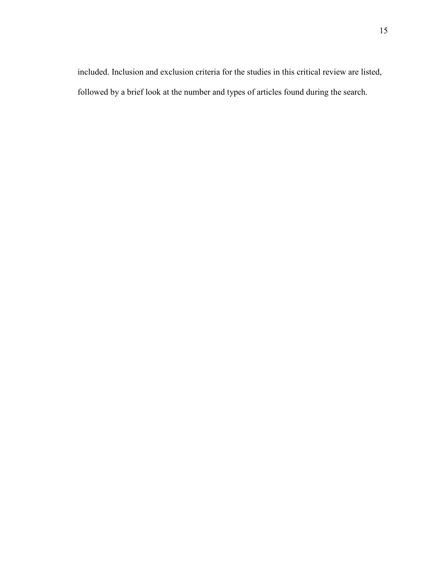included. Inclusion and exclusion criteria for the studies in this critical review are listed, followed by a brief look at the number and types of articles found during the search.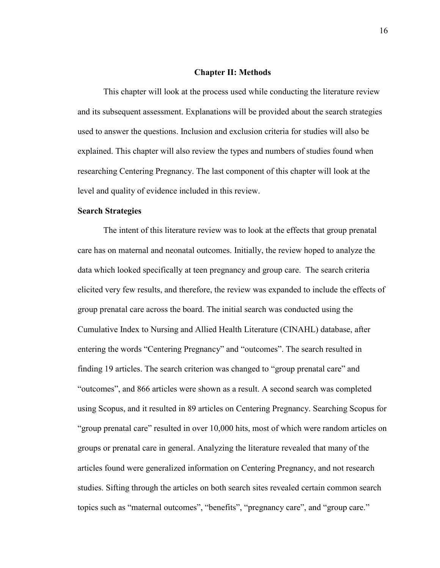#### **Chapter II: Methods**

This chapter will look at the process used while conducting the literature review and its subsequent assessment. Explanations will be provided about the search strategies used to answer the questions. Inclusion and exclusion criteria for studies will also be explained. This chapter will also review the types and numbers of studies found when researching Centering Pregnancy. The last component of this chapter will look at the level and quality of evidence included in this review.

#### **Search Strategies**

The intent of this literature review was to look at the effects that group prenatal care has on maternal and neonatal outcomes. Initially, the review hoped to analyze the data which looked specifically at teen pregnancy and group care. The search criteria elicited very few results, and therefore, the review was expanded to include the effects of group prenatal care across the board. The initial search was conducted using the Cumulative Index to Nursing and Allied Health Literature (CINAHL) database, after entering the words "Centering Pregnancy" and "outcomes". The search resulted in finding 19 articles. The search criterion was changed to "group prenatal care" and "outcomes", and 866 articles were shown as a result. A second search was completed using Scopus, and it resulted in 89 articles on Centering Pregnancy. Searching Scopus for "group prenatal care" resulted in over 10,000 hits, most of which were random articles on groups or prenatal care in general. Analyzing the literature revealed that many of the articles found were generalized information on Centering Pregnancy, and not research studies. Sifting through the articles on both search sites revealed certain common search topics such as "maternal outcomes", "benefits", "pregnancy care", and "group care."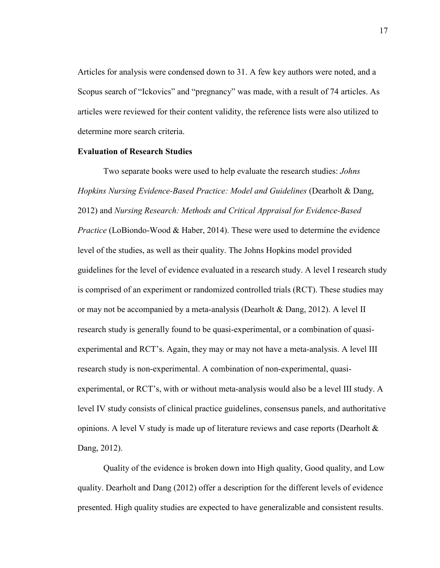Articles for analysis were condensed down to 31. A few key authors were noted, and a Scopus search of "Ickovics" and "pregnancy" was made, with a result of 74 articles. As articles were reviewed for their content validity, the reference lists were also utilized to determine more search criteria.

#### **Evaluation of Research Studies**

Two separate books were used to help evaluate the research studies: *Johns Hopkins Nursing Evidence-Based Practice: Model and Guidelines* (Dearholt & Dang, 2012) and *Nursing Research: Methods and Critical Appraisal for Evidence-Based Practice* (LoBiondo-Wood & Haber, 2014). These were used to determine the evidence level of the studies, as well as their quality. The Johns Hopkins model provided guidelines for the level of evidence evaluated in a research study. A level I research study is comprised of an experiment or randomized controlled trials (RCT). These studies may or may not be accompanied by a meta-analysis (Dearholt & Dang, 2012). A level II research study is generally found to be quasi-experimental, or a combination of quasiexperimental and RCT's. Again, they may or may not have a meta-analysis. A level III research study is non-experimental. A combination of non-experimental, quasiexperimental, or RCT's, with or without meta-analysis would also be a level III study. A level IV study consists of clinical practice guidelines, consensus panels, and authoritative opinions. A level V study is made up of literature reviews and case reports (Dearholt & Dang, 2012).

Quality of the evidence is broken down into High quality, Good quality, and Low quality. Dearholt and Dang (2012) offer a description for the different levels of evidence presented. High quality studies are expected to have generalizable and consistent results.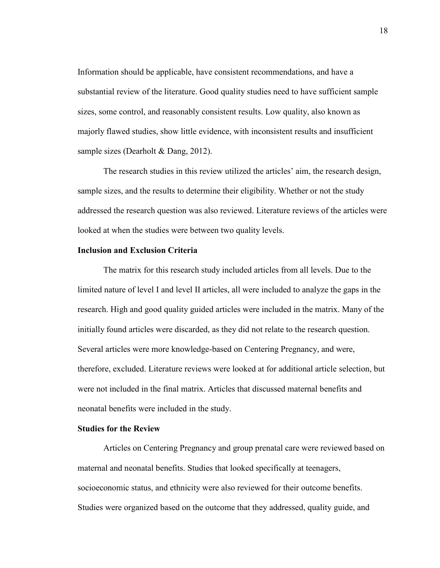Information should be applicable, have consistent recommendations, and have a substantial review of the literature. Good quality studies need to have sufficient sample sizes, some control, and reasonably consistent results. Low quality, also known as majorly flawed studies, show little evidence, with inconsistent results and insufficient sample sizes (Dearholt & Dang, 2012).

The research studies in this review utilized the articles' aim, the research design, sample sizes, and the results to determine their eligibility. Whether or not the study addressed the research question was also reviewed. Literature reviews of the articles were looked at when the studies were between two quality levels.

#### **Inclusion and Exclusion Criteria**

The matrix for this research study included articles from all levels. Due to the limited nature of level I and level II articles, all were included to analyze the gaps in the research. High and good quality guided articles were included in the matrix. Many of the initially found articles were discarded, as they did not relate to the research question. Several articles were more knowledge-based on Centering Pregnancy, and were, therefore, excluded. Literature reviews were looked at for additional article selection, but were not included in the final matrix. Articles that discussed maternal benefits and neonatal benefits were included in the study.

#### **Studies for the Review**

Articles on Centering Pregnancy and group prenatal care were reviewed based on maternal and neonatal benefits. Studies that looked specifically at teenagers, socioeconomic status, and ethnicity were also reviewed for their outcome benefits. Studies were organized based on the outcome that they addressed, quality guide, and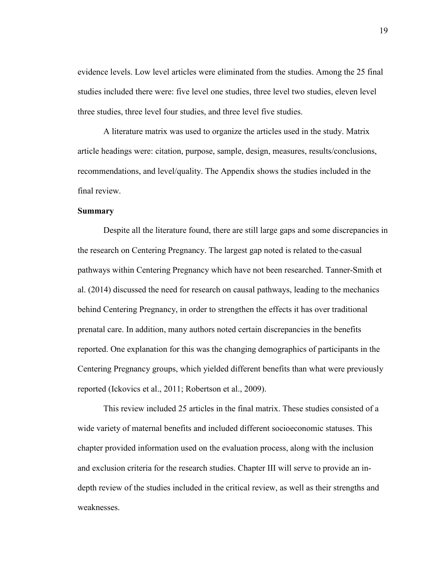evidence levels. Low level articles were eliminated from the studies. Among the 25 final studies included there were: five level one studies, three level two studies, eleven level three studies, three level four studies, and three level five studies.

A literature matrix was used to organize the articles used in the study. Matrix article headings were: citation, purpose, sample, design, measures, results/conclusions, recommendations, and level/quality. The Appendix shows the studies included in the final review.

#### **Summary**

Despite all the literature found, there are still large gaps and some discrepancies in the research on Centering Pregnancy. The largest gap noted is related to the casual pathways within Centering Pregnancy which have not been researched. Tanner-Smith et al. (2014) discussed the need for research on causal pathways, leading to the mechanics behind Centering Pregnancy, in order to strengthen the effects it has over traditional prenatal care. In addition, many authors noted certain discrepancies in the benefits reported. One explanation for this was the changing demographics of participants in the Centering Pregnancy groups, which yielded different benefits than what were previously reported (Ickovics et al., 2011; Robertson et al., 2009).

This review included 25 articles in the final matrix. These studies consisted of a wide variety of maternal benefits and included different socioeconomic statuses. This chapter provided information used on the evaluation process, along with the inclusion and exclusion criteria for the research studies. Chapter III will serve to provide an indepth review of the studies included in the critical review, as well as their strengths and weaknesses.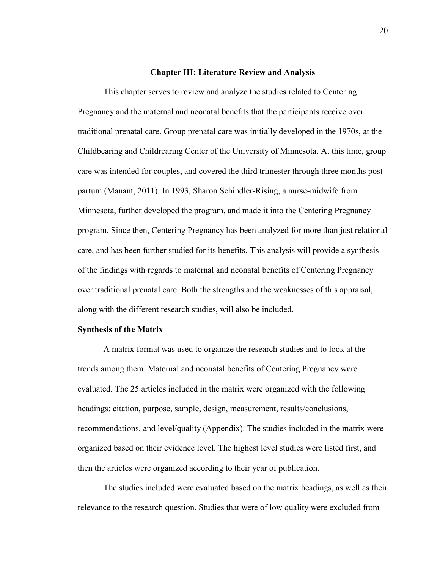#### **Chapter III: Literature Review and Analysis**

This chapter serves to review and analyze the studies related to Centering Pregnancy and the maternal and neonatal benefits that the participants receive over traditional prenatal care. Group prenatal care was initially developed in the 1970s, at the Childbearing and Childrearing Center of the University of Minnesota. At this time, group care was intended for couples, and covered the third trimester through three months postpartum (Manant, 2011). In 1993, Sharon Schindler-Rising, a nurse-midwife from Minnesota, further developed the program, and made it into the Centering Pregnancy program. Since then, Centering Pregnancy has been analyzed for more than just relational care, and has been further studied for its benefits. This analysis will provide a synthesis of the findings with regards to maternal and neonatal benefits of Centering Pregnancy over traditional prenatal care. Both the strengths and the weaknesses of this appraisal, along with the different research studies, will also be included.

#### **Synthesis of the Matrix**

 A matrix format was used to organize the research studies and to look at the trends among them. Maternal and neonatal benefits of Centering Pregnancy were evaluated. The 25 articles included in the matrix were organized with the following headings: citation, purpose, sample, design, measurement, results/conclusions, recommendations, and level/quality (Appendix). The studies included in the matrix were organized based on their evidence level. The highest level studies were listed first, and then the articles were organized according to their year of publication.

The studies included were evaluated based on the matrix headings, as well as their relevance to the research question. Studies that were of low quality were excluded from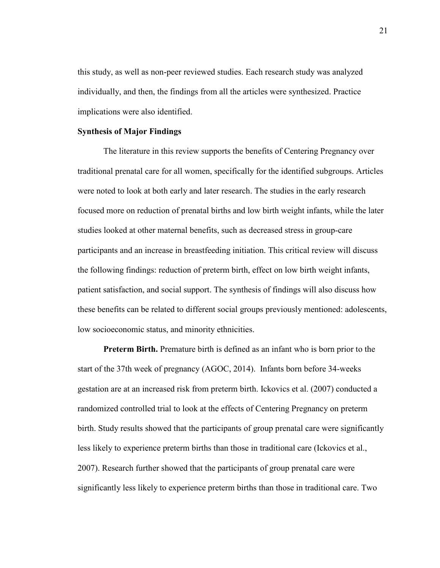this study, as well as non-peer reviewed studies. Each research study was analyzed individually, and then, the findings from all the articles were synthesized. Practice implications were also identified.

#### **Synthesis of Major Findings**

The literature in this review supports the benefits of Centering Pregnancy over traditional prenatal care for all women, specifically for the identified subgroups. Articles were noted to look at both early and later research. The studies in the early research focused more on reduction of prenatal births and low birth weight infants, while the later studies looked at other maternal benefits, such as decreased stress in group-care participants and an increase in breastfeeding initiation. This critical review will discuss the following findings: reduction of preterm birth, effect on low birth weight infants, patient satisfaction, and social support. The synthesis of findings will also discuss how these benefits can be related to different social groups previously mentioned: adolescents, low socioeconomic status, and minority ethnicities.

**Preterm Birth.** Premature birth is defined as an infant who is born prior to the start of the 37th week of pregnancy (AGOC, 2014). Infants born before 34-weeks gestation are at an increased risk from preterm birth. Ickovics et al. (2007) conducted a randomized controlled trial to look at the effects of Centering Pregnancy on preterm birth. Study results showed that the participants of group prenatal care were significantly less likely to experience preterm births than those in traditional care (Ickovics et al., 2007). Research further showed that the participants of group prenatal care were significantly less likely to experience preterm births than those in traditional care. Two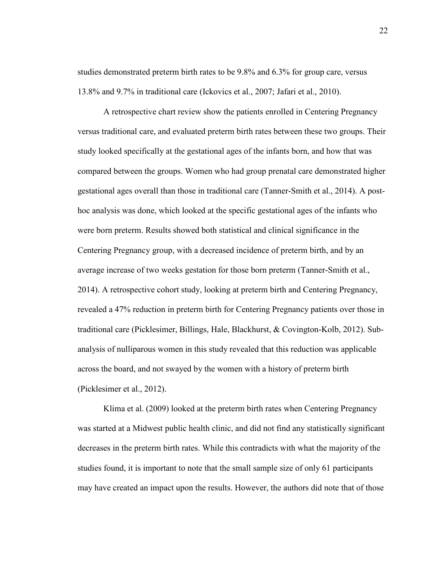studies demonstrated preterm birth rates to be 9.8% and 6.3% for group care, versus 13.8% and 9.7% in traditional care (Ickovics et al., 2007; Jafari et al., 2010).

 A retrospective chart review show the patients enrolled in Centering Pregnancy versus traditional care, and evaluated preterm birth rates between these two groups. Their study looked specifically at the gestational ages of the infants born, and how that was compared between the groups. Women who had group prenatal care demonstrated higher gestational ages overall than those in traditional care (Tanner-Smith et al., 2014). A posthoc analysis was done, which looked at the specific gestational ages of the infants who were born preterm. Results showed both statistical and clinical significance in the Centering Pregnancy group, with a decreased incidence of preterm birth, and by an average increase of two weeks gestation for those born preterm (Tanner-Smith et al., 2014). A retrospective cohort study, looking at preterm birth and Centering Pregnancy, revealed a 47% reduction in preterm birth for Centering Pregnancy patients over those in traditional care (Picklesimer, Billings, Hale, Blackhurst, & Covington-Kolb, 2012). Subanalysis of nulliparous women in this study revealed that this reduction was applicable across the board, and not swayed by the women with a history of preterm birth (Picklesimer et al., 2012).

Klima et al. (2009) looked at the preterm birth rates when Centering Pregnancy was started at a Midwest public health clinic, and did not find any statistically significant decreases in the preterm birth rates. While this contradicts with what the majority of the studies found, it is important to note that the small sample size of only 61 participants may have created an impact upon the results. However, the authors did note that of those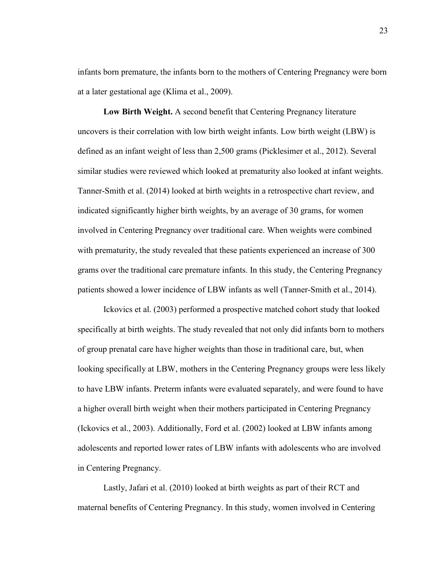infants born premature, the infants born to the mothers of Centering Pregnancy were born at a later gestational age (Klima et al., 2009).

 **Low Birth Weight.** A second benefit that Centering Pregnancy literature uncovers is their correlation with low birth weight infants. Low birth weight (LBW) is defined as an infant weight of less than 2,500 grams (Picklesimer et al., 2012). Several similar studies were reviewed which looked at prematurity also looked at infant weights. Tanner-Smith et al. (2014) looked at birth weights in a retrospective chart review, and indicated significantly higher birth weights, by an average of 30 grams, for women involved in Centering Pregnancy over traditional care. When weights were combined with prematurity, the study revealed that these patients experienced an increase of 300 grams over the traditional care premature infants. In this study, the Centering Pregnancy patients showed a lower incidence of LBW infants as well (Tanner-Smith et al., 2014).

 Ickovics et al. (2003) performed a prospective matched cohort study that looked specifically at birth weights. The study revealed that not only did infants born to mothers of group prenatal care have higher weights than those in traditional care, but, when looking specifically at LBW, mothers in the Centering Pregnancy groups were less likely to have LBW infants. Preterm infants were evaluated separately, and were found to have a higher overall birth weight when their mothers participated in Centering Pregnancy (Ickovics et al., 2003). Additionally, Ford et al. (2002) looked at LBW infants among adolescents and reported lower rates of LBW infants with adolescents who are involved in Centering Pregnancy.

Lastly, Jafari et al. (2010) looked at birth weights as part of their RCT and maternal benefits of Centering Pregnancy. In this study, women involved in Centering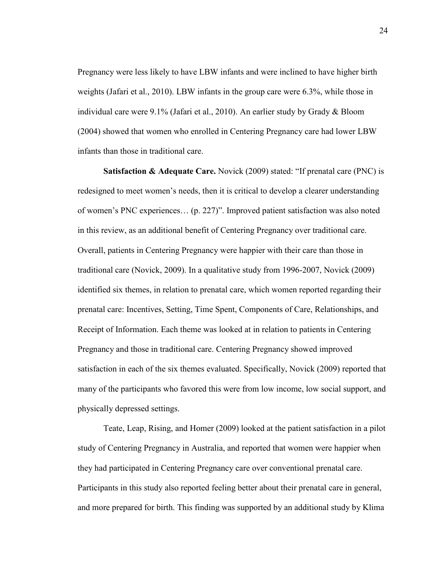Pregnancy were less likely to have LBW infants and were inclined to have higher birth weights (Jafari et al., 2010). LBW infants in the group care were 6.3%, while those in individual care were 9.1% (Jafari et al., 2010). An earlier study by Grady & Bloom (2004) showed that women who enrolled in Centering Pregnancy care had lower LBW infants than those in traditional care.

**Satisfaction & Adequate Care.** Novick (2009) stated: "If prenatal care (PNC) is redesigned to meet women's needs, then it is critical to develop a clearer understanding of women's PNC experiences… (p. 227)". Improved patient satisfaction was also noted in this review, as an additional benefit of Centering Pregnancy over traditional care. Overall, patients in Centering Pregnancy were happier with their care than those in traditional care (Novick, 2009). In a qualitative study from 1996-2007, Novick (2009) identified six themes, in relation to prenatal care, which women reported regarding their prenatal care: Incentives, Setting, Time Spent, Components of Care, Relationships, and Receipt of Information. Each theme was looked at in relation to patients in Centering Pregnancy and those in traditional care. Centering Pregnancy showed improved satisfaction in each of the six themes evaluated. Specifically, Novick (2009) reported that many of the participants who favored this were from low income, low social support, and physically depressed settings.

Teate, Leap, Rising, and Homer (2009) looked at the patient satisfaction in a pilot study of Centering Pregnancy in Australia, and reported that women were happier when they had participated in Centering Pregnancy care over conventional prenatal care. Participants in this study also reported feeling better about their prenatal care in general, and more prepared for birth. This finding was supported by an additional study by Klima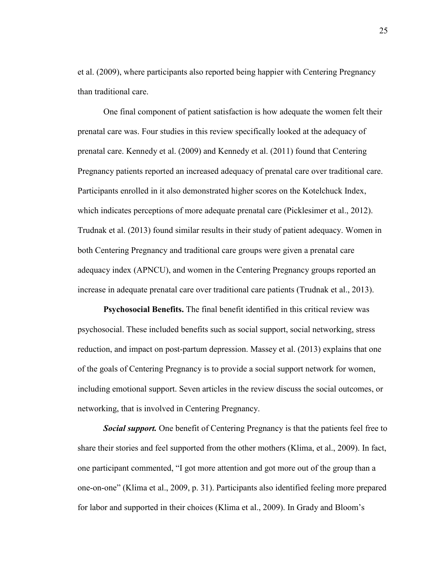et al. (2009), where participants also reported being happier with Centering Pregnancy than traditional care.

One final component of patient satisfaction is how adequate the women felt their prenatal care was. Four studies in this review specifically looked at the adequacy of prenatal care. Kennedy et al. (2009) and Kennedy et al. (2011) found that Centering Pregnancy patients reported an increased adequacy of prenatal care over traditional care. Participants enrolled in it also demonstrated higher scores on the Kotelchuck Index, which indicates perceptions of more adequate prenatal care (Picklesimer et al., 2012). Trudnak et al. (2013) found similar results in their study of patient adequacy. Women in both Centering Pregnancy and traditional care groups were given a prenatal care adequacy index (APNCU), and women in the Centering Pregnancy groups reported an increase in adequate prenatal care over traditional care patients (Trudnak et al., 2013).

 **Psychosocial Benefits.** The final benefit identified in this critical review was psychosocial. These included benefits such as social support, social networking, stress reduction, and impact on post-partum depression. Massey et al. (2013) explains that one of the goals of Centering Pregnancy is to provide a social support network for women, including emotional support. Seven articles in the review discuss the social outcomes, or networking, that is involved in Centering Pregnancy.

*Social support.* One benefit of Centering Pregnancy is that the patients feel free to share their stories and feel supported from the other mothers (Klima, et al., 2009). In fact, one participant commented, "I got more attention and got more out of the group than a one-on-one" (Klima et al., 2009, p. 31). Participants also identified feeling more prepared for labor and supported in their choices (Klima et al., 2009). In Grady and Bloom's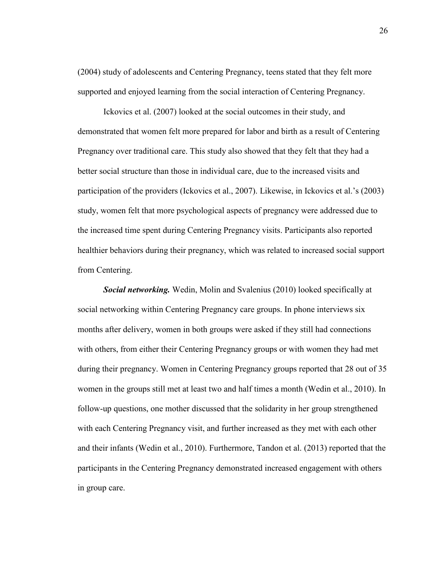(2004) study of adolescents and Centering Pregnancy, teens stated that they felt more supported and enjoyed learning from the social interaction of Centering Pregnancy.

 Ickovics et al. (2007) looked at the social outcomes in their study, and demonstrated that women felt more prepared for labor and birth as a result of Centering Pregnancy over traditional care. This study also showed that they felt that they had a better social structure than those in individual care, due to the increased visits and participation of the providers (Ickovics et al., 2007). Likewise, in Ickovics et al.'s (2003) study, women felt that more psychological aspects of pregnancy were addressed due to the increased time spent during Centering Pregnancy visits. Participants also reported healthier behaviors during their pregnancy, which was related to increased social support from Centering.

*Social networking.* Wedin, Molin and Svalenius (2010) looked specifically at social networking within Centering Pregnancy care groups. In phone interviews six months after delivery, women in both groups were asked if they still had connections with others, from either their Centering Pregnancy groups or with women they had met during their pregnancy. Women in Centering Pregnancy groups reported that 28 out of 35 women in the groups still met at least two and half times a month (Wedin et al., 2010). In follow-up questions, one mother discussed that the solidarity in her group strengthened with each Centering Pregnancy visit, and further increased as they met with each other and their infants (Wedin et al., 2010). Furthermore, Tandon et al. (2013) reported that the participants in the Centering Pregnancy demonstrated increased engagement with others in group care.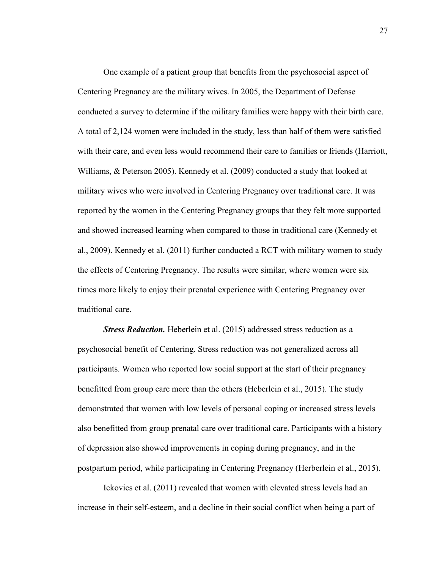One example of a patient group that benefits from the psychosocial aspect of Centering Pregnancy are the military wives. In 2005, the Department of Defense conducted a survey to determine if the military families were happy with their birth care. A total of 2,124 women were included in the study, less than half of them were satisfied with their care, and even less would recommend their care to families or friends (Harriott, Williams, & Peterson 2005). Kennedy et al. (2009) conducted a study that looked at military wives who were involved in Centering Pregnancy over traditional care. It was reported by the women in the Centering Pregnancy groups that they felt more supported and showed increased learning when compared to those in traditional care (Kennedy et al., 2009). Kennedy et al. (2011) further conducted a RCT with military women to study the effects of Centering Pregnancy. The results were similar, where women were six times more likely to enjoy their prenatal experience with Centering Pregnancy over traditional care.

*Stress Reduction.* Heberlein et al. (2015) addressed stress reduction as a psychosocial benefit of Centering. Stress reduction was not generalized across all participants. Women who reported low social support at the start of their pregnancy benefitted from group care more than the others (Heberlein et al., 2015). The study demonstrated that women with low levels of personal coping or increased stress levels also benefitted from group prenatal care over traditional care. Participants with a history of depression also showed improvements in coping during pregnancy, and in the postpartum period, while participating in Centering Pregnancy (Herberlein et al., 2015).

 Ickovics et al. (2011) revealed that women with elevated stress levels had an increase in their self-esteem, and a decline in their social conflict when being a part of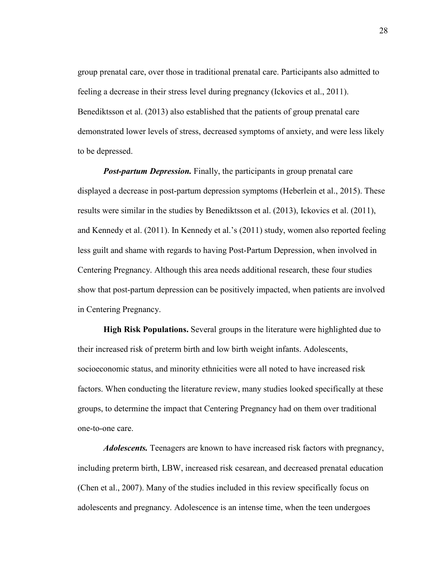group prenatal care, over those in traditional prenatal care. Participants also admitted to feeling a decrease in their stress level during pregnancy (Ickovics et al., 2011). Benediktsson et al. (2013) also established that the patients of group prenatal care demonstrated lower levels of stress, decreased symptoms of anxiety, and were less likely to be depressed.

*Post-partum Depression.* Finally, the participants in group prenatal care displayed a decrease in post-partum depression symptoms (Heberlein et al., 2015). These results were similar in the studies by Benediktsson et al. (2013), Ickovics et al. (2011), and Kennedy et al. (2011). In Kennedy et al.'s (2011) study, women also reported feeling less guilt and shame with regards to having Post-Partum Depression, when involved in Centering Pregnancy. Although this area needs additional research, these four studies show that post-partum depression can be positively impacted, when patients are involved in Centering Pregnancy.

**High Risk Populations.** Several groups in the literature were highlighted due to their increased risk of preterm birth and low birth weight infants. Adolescents, socioeconomic status, and minority ethnicities were all noted to have increased risk factors. When conducting the literature review, many studies looked specifically at these groups, to determine the impact that Centering Pregnancy had on them over traditional one-to-one care.

*Adolescents.* Teenagers are known to have increased risk factors with pregnancy, including preterm birth, LBW, increased risk cesarean, and decreased prenatal education (Chen et al., 2007). Many of the studies included in this review specifically focus on adolescents and pregnancy. Adolescence is an intense time, when the teen undergoes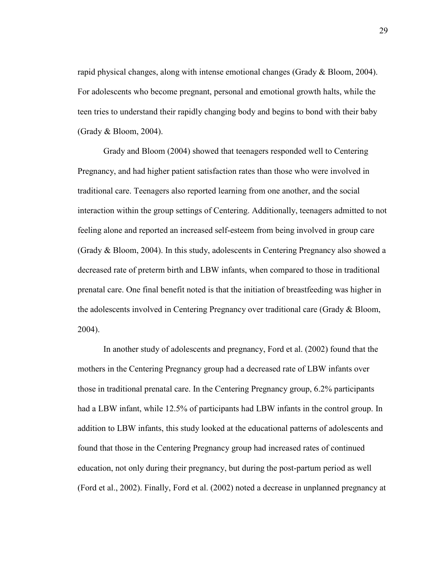rapid physical changes, along with intense emotional changes (Grady & Bloom, 2004). For adolescents who become pregnant, personal and emotional growth halts, while the teen tries to understand their rapidly changing body and begins to bond with their baby (Grady & Bloom, 2004).

Grady and Bloom (2004) showed that teenagers responded well to Centering Pregnancy, and had higher patient satisfaction rates than those who were involved in traditional care. Teenagers also reported learning from one another, and the social interaction within the group settings of Centering. Additionally, teenagers admitted to not feeling alone and reported an increased self-esteem from being involved in group care (Grady & Bloom, 2004). In this study, adolescents in Centering Pregnancy also showed a decreased rate of preterm birth and LBW infants, when compared to those in traditional prenatal care. One final benefit noted is that the initiation of breastfeeding was higher in the adolescents involved in Centering Pregnancy over traditional care (Grady & Bloom, 2004).

In another study of adolescents and pregnancy, Ford et al. (2002) found that the mothers in the Centering Pregnancy group had a decreased rate of LBW infants over those in traditional prenatal care. In the Centering Pregnancy group, 6.2% participants had a LBW infant, while 12.5% of participants had LBW infants in the control group. In addition to LBW infants, this study looked at the educational patterns of adolescents and found that those in the Centering Pregnancy group had increased rates of continued education, not only during their pregnancy, but during the post-partum period as well (Ford et al., 2002). Finally, Ford et al. (2002) noted a decrease in unplanned pregnancy at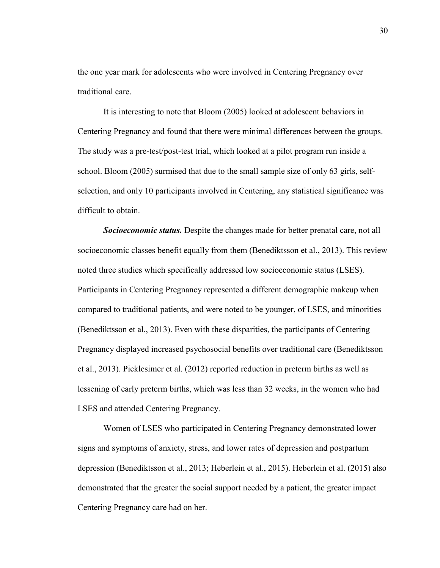the one year mark for adolescents who were involved in Centering Pregnancy over traditional care.

It is interesting to note that Bloom (2005) looked at adolescent behaviors in Centering Pregnancy and found that there were minimal differences between the groups. The study was a pre-test/post-test trial, which looked at a pilot program run inside a school. Bloom (2005) surmised that due to the small sample size of only 63 girls, selfselection, and only 10 participants involved in Centering, any statistical significance was difficult to obtain.

*Socioeconomic status.* Despite the changes made for better prenatal care, not all socioeconomic classes benefit equally from them (Benediktsson et al., 2013). This review noted three studies which specifically addressed low socioeconomic status (LSES). Participants in Centering Pregnancy represented a different demographic makeup when compared to traditional patients, and were noted to be younger, of LSES, and minorities (Benediktsson et al., 2013). Even with these disparities, the participants of Centering Pregnancy displayed increased psychosocial benefits over traditional care (Benediktsson et al., 2013). Picklesimer et al. (2012) reported reduction in preterm births as well as lessening of early preterm births, which was less than 32 weeks, in the women who had LSES and attended Centering Pregnancy.

Women of LSES who participated in Centering Pregnancy demonstrated lower signs and symptoms of anxiety, stress, and lower rates of depression and postpartum depression (Benediktsson et al., 2013; Heberlein et al., 2015). Heberlein et al. (2015) also demonstrated that the greater the social support needed by a patient, the greater impact Centering Pregnancy care had on her.

30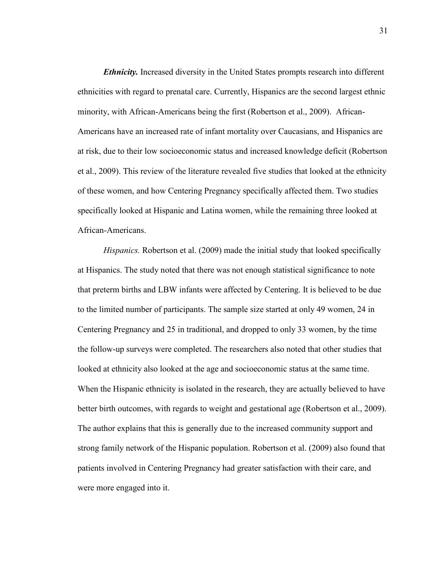*Ethnicity.* Increased diversity in the United States prompts research into different ethnicities with regard to prenatal care. Currently, Hispanics are the second largest ethnic minority, with African-Americans being the first (Robertson et al., 2009). African-Americans have an increased rate of infant mortality over Caucasians, and Hispanics are at risk, due to their low socioeconomic status and increased knowledge deficit (Robertson et al., 2009). This review of the literature revealed five studies that looked at the ethnicity of these women, and how Centering Pregnancy specifically affected them. Two studies specifically looked at Hispanic and Latina women, while the remaining three looked at African-Americans.

*Hispanics.* Robertson et al. (2009) made the initial study that looked specifically at Hispanics. The study noted that there was not enough statistical significance to note that preterm births and LBW infants were affected by Centering. It is believed to be due to the limited number of participants. The sample size started at only 49 women, 24 in Centering Pregnancy and 25 in traditional, and dropped to only 33 women, by the time the follow-up surveys were completed. The researchers also noted that other studies that looked at ethnicity also looked at the age and socioeconomic status at the same time. When the Hispanic ethnicity is isolated in the research, they are actually believed to have better birth outcomes, with regards to weight and gestational age (Robertson et al., 2009). The author explains that this is generally due to the increased community support and strong family network of the Hispanic population. Robertson et al. (2009) also found that patients involved in Centering Pregnancy had greater satisfaction with their care, and were more engaged into it.

31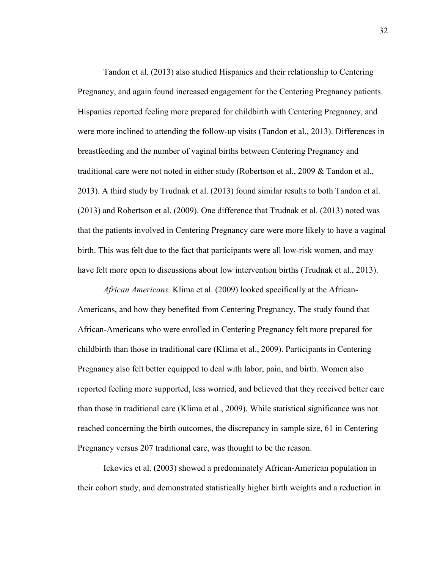Tandon et al. (2013) also studied Hispanics and their relationship to Centering Pregnancy, and again found increased engagement for the Centering Pregnancy patients. Hispanics reported feeling more prepared for childbirth with Centering Pregnancy, and were more inclined to attending the follow-up visits (Tandon et al., 2013). Differences in breastfeeding and the number of vaginal births between Centering Pregnancy and traditional care were not noted in either study (Robertson et al., 2009 & Tandon et al., 2013). A third study by Trudnak et al. (2013) found similar results to both Tandon et al. (2013) and Robertson et al. (2009). One difference that Trudnak et al. (2013) noted was that the patients involved in Centering Pregnancy care were more likely to have a vaginal birth. This was felt due to the fact that participants were all low-risk women, and may have felt more open to discussions about low intervention births (Trudnak et al., 2013).

*African Americans.* Klima et al. (2009) looked specifically at the African-Americans, and how they benefited from Centering Pregnancy. The study found that African-Americans who were enrolled in Centering Pregnancy felt more prepared for childbirth than those in traditional care (Klima et al., 2009). Participants in Centering Pregnancy also felt better equipped to deal with labor, pain, and birth. Women also reported feeling more supported, less worried, and believed that they received better care than those in traditional care (Klima et al., 2009). While statistical significance was not reached concerning the birth outcomes, the discrepancy in sample size, 61 in Centering Pregnancy versus 207 traditional care, was thought to be the reason.

 Ickovics et al. (2003) showed a predominately African-American population in their cohort study, and demonstrated statistically higher birth weights and a reduction in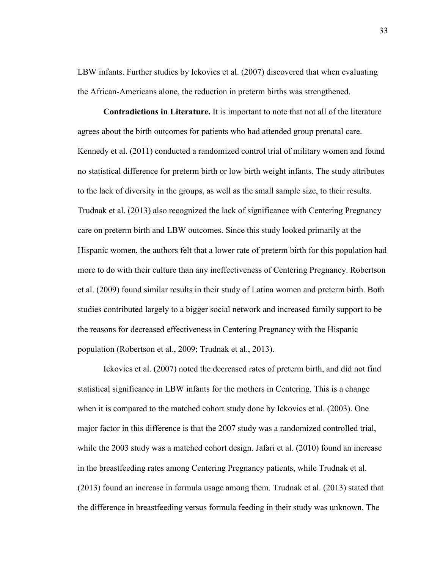LBW infants. Further studies by Ickovics et al. (2007) discovered that when evaluating the African-Americans alone, the reduction in preterm births was strengthened.

 **Contradictions in Literature.** It is important to note that not all of the literature agrees about the birth outcomes for patients who had attended group prenatal care. Kennedy et al. (2011) conducted a randomized control trial of military women and found no statistical difference for preterm birth or low birth weight infants. The study attributes to the lack of diversity in the groups, as well as the small sample size, to their results. Trudnak et al. (2013) also recognized the lack of significance with Centering Pregnancy care on preterm birth and LBW outcomes. Since this study looked primarily at the Hispanic women, the authors felt that a lower rate of preterm birth for this population had more to do with their culture than any ineffectiveness of Centering Pregnancy. Robertson et al. (2009) found similar results in their study of Latina women and preterm birth. Both studies contributed largely to a bigger social network and increased family support to be the reasons for decreased effectiveness in Centering Pregnancy with the Hispanic population (Robertson et al., 2009; Trudnak et al., 2013).

 Ickovics et al. (2007) noted the decreased rates of preterm birth, and did not find statistical significance in LBW infants for the mothers in Centering. This is a change when it is compared to the matched cohort study done by Ickovics et al. (2003). One major factor in this difference is that the 2007 study was a randomized controlled trial, while the 2003 study was a matched cohort design. Jafari et al. (2010) found an increase in the breastfeeding rates among Centering Pregnancy patients, while Trudnak et al. (2013) found an increase in formula usage among them. Trudnak et al. (2013) stated that the difference in breastfeeding versus formula feeding in their study was unknown. The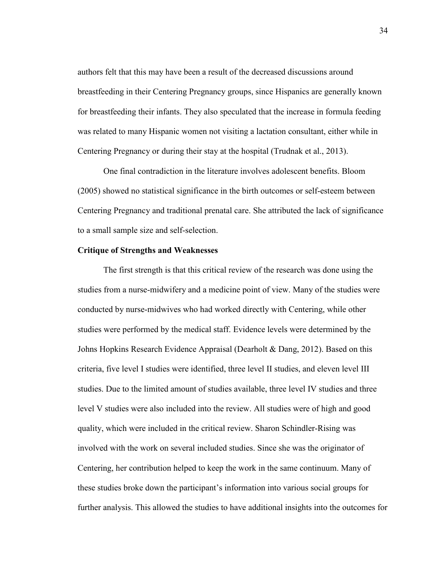authors felt that this may have been a result of the decreased discussions around breastfeeding in their Centering Pregnancy groups, since Hispanics are generally known for breastfeeding their infants. They also speculated that the increase in formula feeding was related to many Hispanic women not visiting a lactation consultant, either while in Centering Pregnancy or during their stay at the hospital (Trudnak et al., 2013).

One final contradiction in the literature involves adolescent benefits. Bloom (2005) showed no statistical significance in the birth outcomes or self-esteem between Centering Pregnancy and traditional prenatal care. She attributed the lack of significance to a small sample size and self-selection.

#### **Critique of Strengths and Weaknesses**

The first strength is that this critical review of the research was done using the studies from a nurse-midwifery and a medicine point of view. Many of the studies were conducted by nurse-midwives who had worked directly with Centering, while other studies were performed by the medical staff. Evidence levels were determined by the Johns Hopkins Research Evidence Appraisal (Dearholt & Dang, 2012). Based on this criteria, five level I studies were identified, three level II studies, and eleven level III studies. Due to the limited amount of studies available, three level IV studies and three level V studies were also included into the review. All studies were of high and good quality, which were included in the critical review. Sharon Schindler-Rising was involved with the work on several included studies. Since she was the originator of Centering, her contribution helped to keep the work in the same continuum. Many of these studies broke down the participant's information into various social groups for further analysis. This allowed the studies to have additional insights into the outcomes for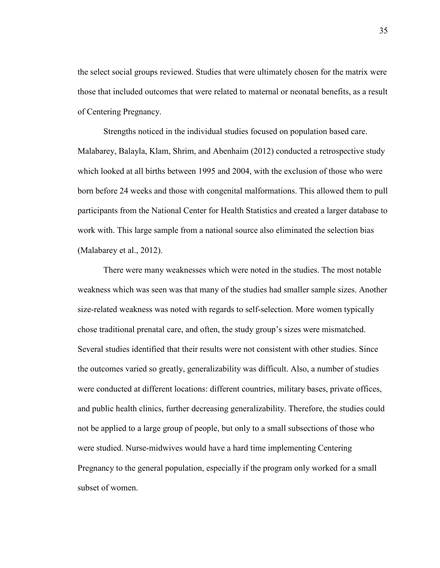the select social groups reviewed. Studies that were ultimately chosen for the matrix were those that included outcomes that were related to maternal or neonatal benefits, as a result of Centering Pregnancy.

 Strengths noticed in the individual studies focused on population based care. Malabarey, Balayla, Klam, Shrim, and Abenhaim (2012) conducted a retrospective study which looked at all births between 1995 and 2004, with the exclusion of those who were born before 24 weeks and those with congenital malformations. This allowed them to pull participants from the National Center for Health Statistics and created a larger database to work with. This large sample from a national source also eliminated the selection bias (Malabarey et al., 2012).

There were many weaknesses which were noted in the studies. The most notable weakness which was seen was that many of the studies had smaller sample sizes. Another size-related weakness was noted with regards to self-selection. More women typically chose traditional prenatal care, and often, the study group's sizes were mismatched. Several studies identified that their results were not consistent with other studies. Since the outcomes varied so greatly, generalizability was difficult. Also, a number of studies were conducted at different locations: different countries, military bases, private offices, and public health clinics, further decreasing generalizability. Therefore, the studies could not be applied to a large group of people, but only to a small subsections of those who were studied. Nurse-midwives would have a hard time implementing Centering Pregnancy to the general population, especially if the program only worked for a small subset of women.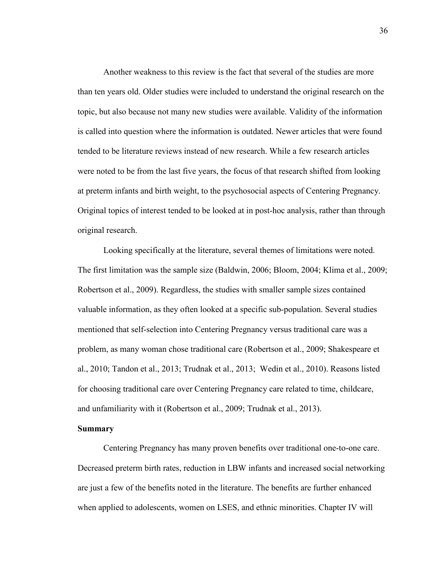Another weakness to this review is the fact that several of the studies are more than ten years old. Older studies were included to understand the original research on the topic, but also because not many new studies were available. Validity of the information is called into question where the information is outdated. Newer articles that were found tended to be literature reviews instead of new research. While a few research articles were noted to be from the last five years, the focus of that research shifted from looking at preterm infants and birth weight, to the psychosocial aspects of Centering Pregnancy. Original topics of interest tended to be looked at in post-hoc analysis, rather than through original research.

 Looking specifically at the literature, several themes of limitations were noted. The first limitation was the sample size (Baldwin, 2006; Bloom, 2004; Klima et al., 2009; Robertson et al., 2009). Regardless, the studies with smaller sample sizes contained valuable information, as they often looked at a specific sub-population. Several studies mentioned that self-selection into Centering Pregnancy versus traditional care was a problem, as many woman chose traditional care (Robertson et al., 2009; Shakespeare et al., 2010; Tandon et al., 2013; Trudnak et al., 2013; Wedin et al., 2010). Reasons listed for choosing traditional care over Centering Pregnancy care related to time, childcare, and unfamiliarity with it (Robertson et al., 2009; Trudnak et al., 2013).

## **Summary**

Centering Pregnancy has many proven benefits over traditional one-to-one care. Decreased preterm birth rates, reduction in LBW infants and increased social networking are just a few of the benefits noted in the literature. The benefits are further enhanced when applied to adolescents, women on LSES, and ethnic minorities. Chapter IV will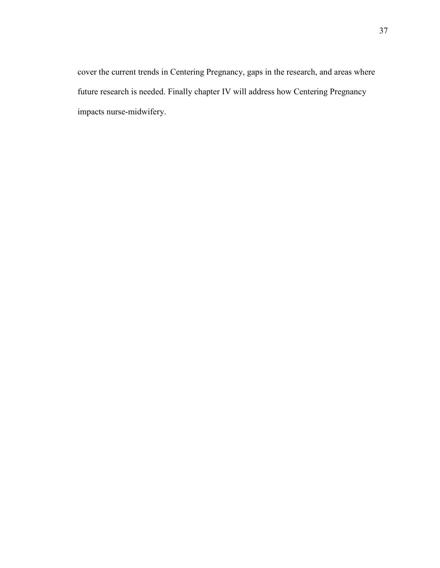cover the current trends in Centering Pregnancy, gaps in the research, and areas where future research is needed. Finally chapter IV will address how Centering Pregnancy impacts nurse-midwifery.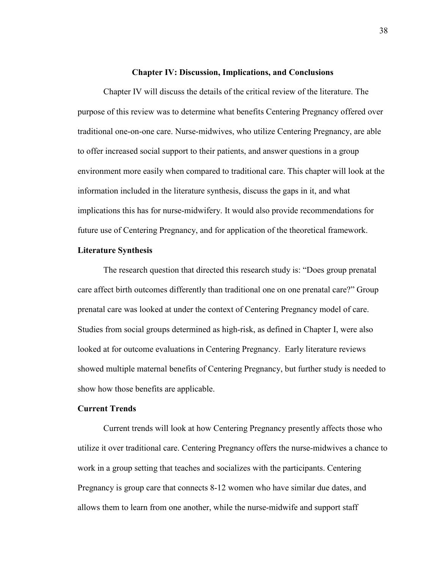## **Chapter IV: Discussion, Implications, and Conclusions**

Chapter IV will discuss the details of the critical review of the literature. The purpose of this review was to determine what benefits Centering Pregnancy offered over traditional one-on-one care. Nurse-midwives, who utilize Centering Pregnancy, are able to offer increased social support to their patients, and answer questions in a group environment more easily when compared to traditional care. This chapter will look at the information included in the literature synthesis, discuss the gaps in it, and what implications this has for nurse-midwifery. It would also provide recommendations for future use of Centering Pregnancy, and for application of the theoretical framework.

## **Literature Synthesis**

The research question that directed this research study is: "Does group prenatal care affect birth outcomes differently than traditional one on one prenatal care?" Group prenatal care was looked at under the context of Centering Pregnancy model of care. Studies from social groups determined as high-risk, as defined in Chapter I, were also looked at for outcome evaluations in Centering Pregnancy. Early literature reviews showed multiple maternal benefits of Centering Pregnancy, but further study is needed to show how those benefits are applicable.

#### **Current Trends**

Current trends will look at how Centering Pregnancy presently affects those who utilize it over traditional care. Centering Pregnancy offers the nurse-midwives a chance to work in a group setting that teaches and socializes with the participants. Centering Pregnancy is group care that connects 8-12 women who have similar due dates, and allows them to learn from one another, while the nurse-midwife and support staff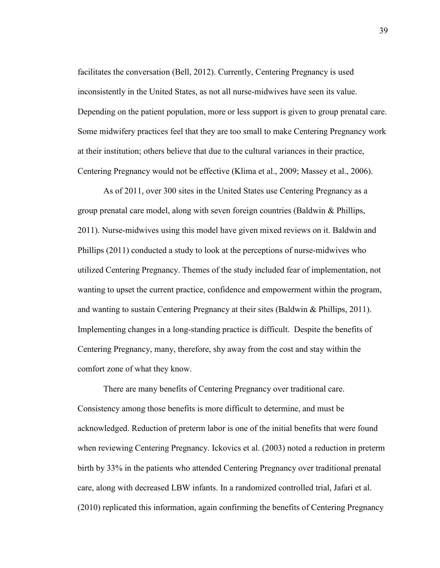facilitates the conversation (Bell, 2012). Currently, Centering Pregnancy is used inconsistently in the United States, as not all nurse-midwives have seen its value. Depending on the patient population, more or less support is given to group prenatal care. Some midwifery practices feel that they are too small to make Centering Pregnancy work at their institution; others believe that due to the cultural variances in their practice, Centering Pregnancy would not be effective (Klima et al., 2009; Massey et al., 2006).

As of 2011, over 300 sites in the United States use Centering Pregnancy as a group prenatal care model, along with seven foreign countries (Baldwin & Phillips, 2011). Nurse-midwives using this model have given mixed reviews on it. Baldwin and Phillips (2011) conducted a study to look at the perceptions of nurse-midwives who utilized Centering Pregnancy. Themes of the study included fear of implementation, not wanting to upset the current practice, confidence and empowerment within the program, and wanting to sustain Centering Pregnancy at their sites (Baldwin & Phillips, 2011). Implementing changes in a long-standing practice is difficult. Despite the benefits of Centering Pregnancy, many, therefore, shy away from the cost and stay within the comfort zone of what they know.

There are many benefits of Centering Pregnancy over traditional care. Consistency among those benefits is more difficult to determine, and must be acknowledged. Reduction of preterm labor is one of the initial benefits that were found when reviewing Centering Pregnancy. Ickovics et al. (2003) noted a reduction in preterm birth by 33% in the patients who attended Centering Pregnancy over traditional prenatal care, along with decreased LBW infants. In a randomized controlled trial, Jafari et al. (2010) replicated this information, again confirming the benefits of Centering Pregnancy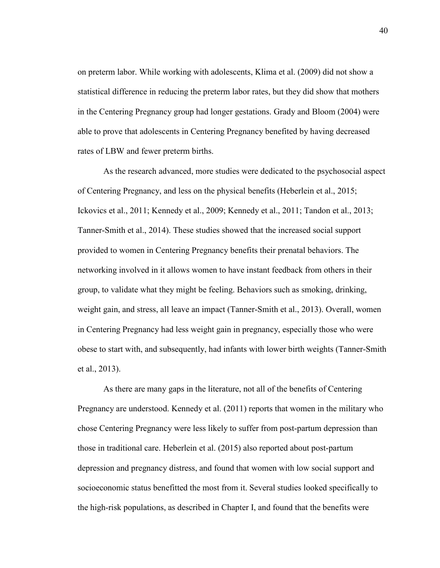on preterm labor. While working with adolescents, Klima et al. (2009) did not show a statistical difference in reducing the preterm labor rates, but they did show that mothers in the Centering Pregnancy group had longer gestations. Grady and Bloom (2004) were able to prove that adolescents in Centering Pregnancy benefited by having decreased rates of LBW and fewer preterm births.

As the research advanced, more studies were dedicated to the psychosocial aspect of Centering Pregnancy, and less on the physical benefits (Heberlein et al., 2015; Ickovics et al., 2011; Kennedy et al., 2009; Kennedy et al., 2011; Tandon et al., 2013; Tanner-Smith et al., 2014). These studies showed that the increased social support provided to women in Centering Pregnancy benefits their prenatal behaviors. The networking involved in it allows women to have instant feedback from others in their group, to validate what they might be feeling. Behaviors such as smoking, drinking, weight gain, and stress, all leave an impact (Tanner-Smith et al., 2013). Overall, women in Centering Pregnancy had less weight gain in pregnancy, especially those who were obese to start with, and subsequently, had infants with lower birth weights (Tanner-Smith et al., 2013).

As there are many gaps in the literature, not all of the benefits of Centering Pregnancy are understood. Kennedy et al. (2011) reports that women in the military who chose Centering Pregnancy were less likely to suffer from post-partum depression than those in traditional care. Heberlein et al. (2015) also reported about post-partum depression and pregnancy distress, and found that women with low social support and socioeconomic status benefitted the most from it. Several studies looked specifically to the high-risk populations, as described in Chapter I, and found that the benefits were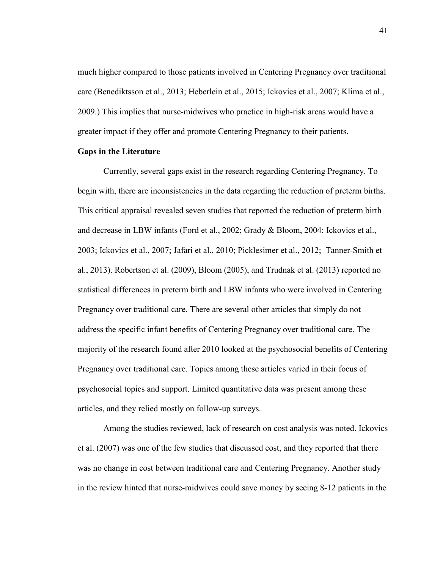much higher compared to those patients involved in Centering Pregnancy over traditional care (Benediktsson et al., 2013; Heberlein et al., 2015; Ickovics et al., 2007; Klima et al., 2009.) This implies that nurse-midwives who practice in high-risk areas would have a greater impact if they offer and promote Centering Pregnancy to their patients.

## **Gaps in the Literature**

Currently, several gaps exist in the research regarding Centering Pregnancy. To begin with, there are inconsistencies in the data regarding the reduction of preterm births. This critical appraisal revealed seven studies that reported the reduction of preterm birth and decrease in LBW infants (Ford et al., 2002; Grady & Bloom, 2004; Ickovics et al., 2003; Ickovics et al., 2007; Jafari et al., 2010; Picklesimer et al., 2012; Tanner-Smith et al., 2013). Robertson et al. (2009), Bloom (2005), and Trudnak et al. (2013) reported no statistical differences in preterm birth and LBW infants who were involved in Centering Pregnancy over traditional care. There are several other articles that simply do not address the specific infant benefits of Centering Pregnancy over traditional care. The majority of the research found after 2010 looked at the psychosocial benefits of Centering Pregnancy over traditional care. Topics among these articles varied in their focus of psychosocial topics and support. Limited quantitative data was present among these articles, and they relied mostly on follow-up surveys.

 Among the studies reviewed, lack of research on cost analysis was noted. Ickovics et al. (2007) was one of the few studies that discussed cost, and they reported that there was no change in cost between traditional care and Centering Pregnancy. Another study in the review hinted that nurse-midwives could save money by seeing 8-12 patients in the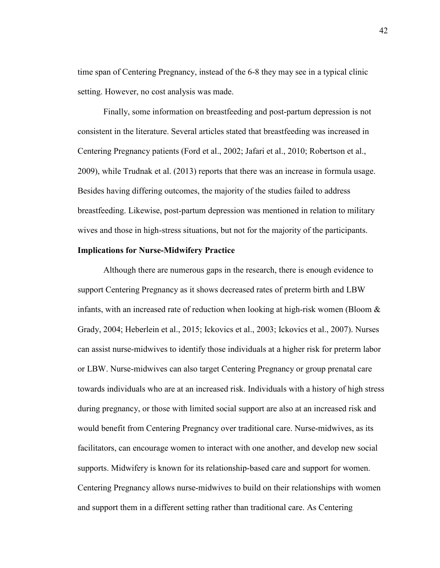time span of Centering Pregnancy, instead of the 6-8 they may see in a typical clinic setting. However, no cost analysis was made.

Finally, some information on breastfeeding and post-partum depression is not consistent in the literature. Several articles stated that breastfeeding was increased in Centering Pregnancy patients (Ford et al., 2002; Jafari et al., 2010; Robertson et al., 2009), while Trudnak et al. (2013) reports that there was an increase in formula usage. Besides having differing outcomes, the majority of the studies failed to address breastfeeding. Likewise, post-partum depression was mentioned in relation to military wives and those in high-stress situations, but not for the majority of the participants.

## **Implications for Nurse-Midwifery Practice**

 Although there are numerous gaps in the research, there is enough evidence to support Centering Pregnancy as it shows decreased rates of preterm birth and LBW infants, with an increased rate of reduction when looking at high-risk women (Bloom  $\&$ Grady, 2004; Heberlein et al., 2015; Ickovics et al., 2003; Ickovics et al., 2007). Nurses can assist nurse-midwives to identify those individuals at a higher risk for preterm labor or LBW. Nurse-midwives can also target Centering Pregnancy or group prenatal care towards individuals who are at an increased risk. Individuals with a history of high stress during pregnancy, or those with limited social support are also at an increased risk and would benefit from Centering Pregnancy over traditional care. Nurse-midwives, as its facilitators, can encourage women to interact with one another, and develop new social supports. Midwifery is known for its relationship-based care and support for women. Centering Pregnancy allows nurse-midwives to build on their relationships with women and support them in a different setting rather than traditional care. As Centering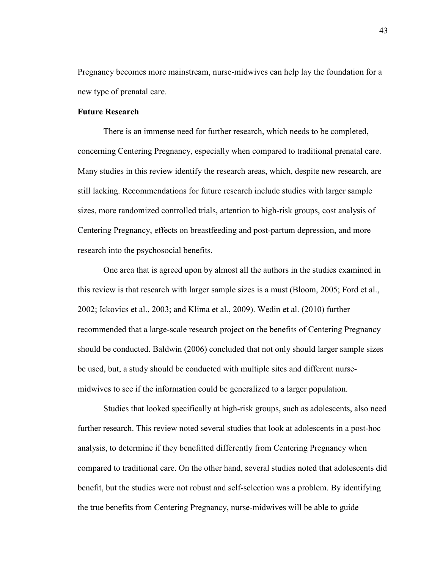Pregnancy becomes more mainstream, nurse-midwives can help lay the foundation for a new type of prenatal care.

# **Future Research**

There is an immense need for further research, which needs to be completed, concerning Centering Pregnancy, especially when compared to traditional prenatal care. Many studies in this review identify the research areas, which, despite new research, are still lacking. Recommendations for future research include studies with larger sample sizes, more randomized controlled trials, attention to high-risk groups, cost analysis of Centering Pregnancy, effects on breastfeeding and post-partum depression, and more research into the psychosocial benefits.

One area that is agreed upon by almost all the authors in the studies examined in this review is that research with larger sample sizes is a must (Bloom, 2005; Ford et al., 2002; Ickovics et al., 2003; and Klima et al., 2009). Wedin et al. (2010) further recommended that a large-scale research project on the benefits of Centering Pregnancy should be conducted. Baldwin (2006) concluded that not only should larger sample sizes be used, but, a study should be conducted with multiple sites and different nursemidwives to see if the information could be generalized to a larger population.

 Studies that looked specifically at high-risk groups, such as adolescents, also need further research. This review noted several studies that look at adolescents in a post-hoc analysis, to determine if they benefitted differently from Centering Pregnancy when compared to traditional care. On the other hand, several studies noted that adolescents did benefit, but the studies were not robust and self-selection was a problem. By identifying the true benefits from Centering Pregnancy, nurse-midwives will be able to guide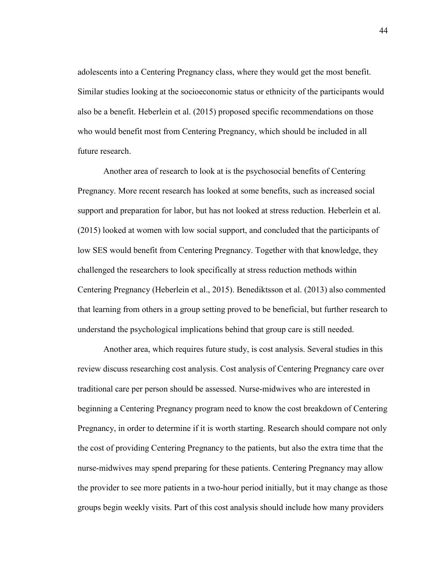adolescents into a Centering Pregnancy class, where they would get the most benefit. Similar studies looking at the socioeconomic status or ethnicity of the participants would also be a benefit. Heberlein et al. (2015) proposed specific recommendations on those who would benefit most from Centering Pregnancy, which should be included in all future research.

 Another area of research to look at is the psychosocial benefits of Centering Pregnancy. More recent research has looked at some benefits, such as increased social support and preparation for labor, but has not looked at stress reduction. Heberlein et al. (2015) looked at women with low social support, and concluded that the participants of low SES would benefit from Centering Pregnancy. Together with that knowledge, they challenged the researchers to look specifically at stress reduction methods within Centering Pregnancy (Heberlein et al., 2015). Benediktsson et al. (2013) also commented that learning from others in a group setting proved to be beneficial, but further research to understand the psychological implications behind that group care is still needed.

 Another area, which requires future study, is cost analysis. Several studies in this review discuss researching cost analysis. Cost analysis of Centering Pregnancy care over traditional care per person should be assessed. Nurse-midwives who are interested in beginning a Centering Pregnancy program need to know the cost breakdown of Centering Pregnancy, in order to determine if it is worth starting. Research should compare not only the cost of providing Centering Pregnancy to the patients, but also the extra time that the nurse-midwives may spend preparing for these patients. Centering Pregnancy may allow the provider to see more patients in a two-hour period initially, but it may change as those groups begin weekly visits. Part of this cost analysis should include how many providers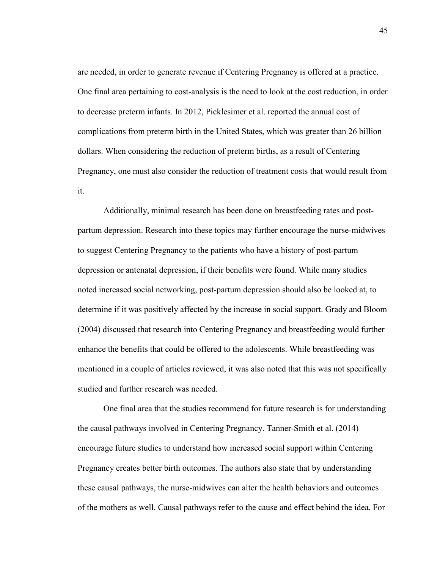are needed, in order to generate revenue if Centering Pregnancy is offered at a practice. One final area pertaining to cost-analysis is the need to look at the cost reduction, in order to decrease preterm infants. In 2012, Picklesimer et al. reported the annual cost of complications from preterm birth in the United States, which was greater than 26 billion dollars. When considering the reduction of preterm births, as a result of Centering Pregnancy, one must also consider the reduction of treatment costs that would result from it.

 Additionally, minimal research has been done on breastfeeding rates and postpartum depression. Research into these topics may further encourage the nurse-midwives to suggest Centering Pregnancy to the patients who have a history of post-partum depression or antenatal depression, if their benefits were found. While many studies noted increased social networking, post-partum depression should also be looked at, to determine if it was positively affected by the increase in social support. Grady and Bloom (2004) discussed that research into Centering Pregnancy and breastfeeding would further enhance the benefits that could be offered to the adolescents. While breastfeeding was mentioned in a couple of articles reviewed, it was also noted that this was not specifically studied and further research was needed.

One final area that the studies recommend for future research is for understanding the causal pathways involved in Centering Pregnancy. Tanner-Smith et al. (2014) encourage future studies to understand how increased social support within Centering Pregnancy creates better birth outcomes. The authors also state that by understanding these causal pathways, the nurse-midwives can alter the health behaviors and outcomes of the mothers as well. Causal pathways refer to the cause and effect behind the idea. For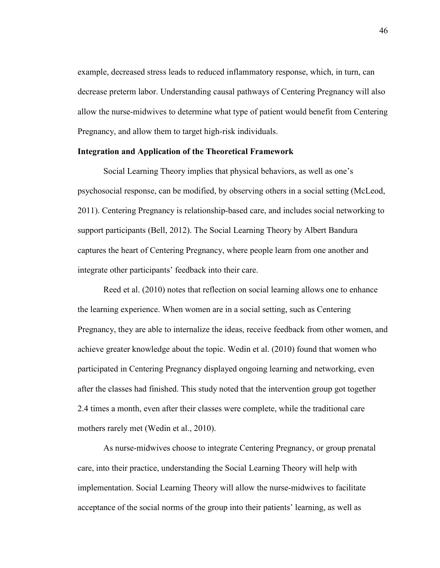example, decreased stress leads to reduced inflammatory response, which, in turn, can decrease preterm labor. Understanding causal pathways of Centering Pregnancy will also allow the nurse-midwives to determine what type of patient would benefit from Centering Pregnancy, and allow them to target high-risk individuals.

## **Integration and Application of the Theoretical Framework**

Social Learning Theory implies that physical behaviors, as well as one's psychosocial response, can be modified, by observing others in a social setting (McLeod, 2011). Centering Pregnancy is relationship-based care, and includes social networking to support participants (Bell, 2012). The Social Learning Theory by Albert Bandura captures the heart of Centering Pregnancy, where people learn from one another and integrate other participants' feedback into their care.

Reed et al. (2010) notes that reflection on social learning allows one to enhance the learning experience. When women are in a social setting, such as Centering Pregnancy, they are able to internalize the ideas, receive feedback from other women, and achieve greater knowledge about the topic. Wedin et al. (2010) found that women who participated in Centering Pregnancy displayed ongoing learning and networking, even after the classes had finished. This study noted that the intervention group got together 2.4 times a month, even after their classes were complete, while the traditional care mothers rarely met (Wedin et al., 2010).

As nurse-midwives choose to integrate Centering Pregnancy, or group prenatal care, into their practice, understanding the Social Learning Theory will help with implementation. Social Learning Theory will allow the nurse-midwives to facilitate acceptance of the social norms of the group into their patients' learning, as well as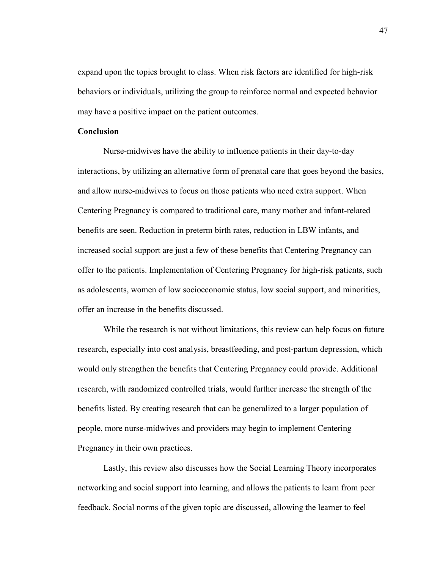expand upon the topics brought to class. When risk factors are identified for high-risk behaviors or individuals, utilizing the group to reinforce normal and expected behavior may have a positive impact on the patient outcomes.

## **Conclusion**

Nurse-midwives have the ability to influence patients in their day-to-day interactions, by utilizing an alternative form of prenatal care that goes beyond the basics, and allow nurse-midwives to focus on those patients who need extra support. When Centering Pregnancy is compared to traditional care, many mother and infant-related benefits are seen. Reduction in preterm birth rates, reduction in LBW infants, and increased social support are just a few of these benefits that Centering Pregnancy can offer to the patients. Implementation of Centering Pregnancy for high-risk patients, such as adolescents, women of low socioeconomic status, low social support, and minorities, offer an increase in the benefits discussed.

While the research is not without limitations, this review can help focus on future research, especially into cost analysis, breastfeeding, and post-partum depression, which would only strengthen the benefits that Centering Pregnancy could provide. Additional research, with randomized controlled trials, would further increase the strength of the benefits listed. By creating research that can be generalized to a larger population of people, more nurse-midwives and providers may begin to implement Centering Pregnancy in their own practices.

Lastly, this review also discusses how the Social Learning Theory incorporates networking and social support into learning, and allows the patients to learn from peer feedback. Social norms of the given topic are discussed, allowing the learner to feel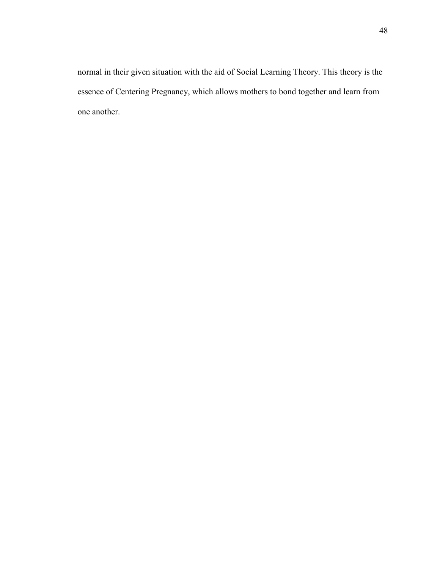normal in their given situation with the aid of Social Learning Theory. This theory is the essence of Centering Pregnancy, which allows mothers to bond together and learn from one another.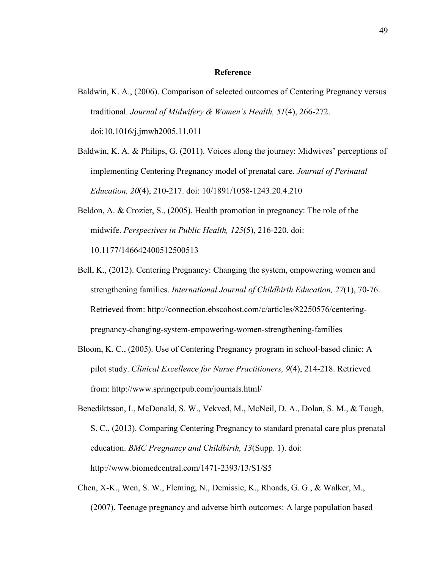#### **Reference**

- Baldwin, K. A., (2006). Comparison of selected outcomes of Centering Pregnancy versus traditional. *Journal of Midwifery & Women's Health, 51*(4), 266-272. doi:10.1016/j.jmwh2005.11.011
- Baldwin, K. A. & Philips, G. (2011). Voices along the journey: Midwives' perceptions of implementing Centering Pregnancy model of prenatal care. *Journal of Perinatal Education, 20*(4), 210-217. doi: 10/1891/1058-1243.20.4.210
- Beldon, A. & Crozier, S., (2005). Health promotion in pregnancy: The role of the midwife. *Perspectives in Public Health, 125*(5), 216-220. doi: 10.1177/146642400512500513
- Bell, K., (2012). Centering Pregnancy: Changing the system, empowering women and strengthening families. *International Journal of Childbirth Education, 27*(1), 70-76. Retrieved from: http://connection.ebscohost.com/c/articles/82250576/centeringpregnancy-changing-system-empowering-women-strengthening-families
- Bloom, K. C., (2005). Use of Centering Pregnancy program in school-based clinic: A pilot study. *Clinical Excellence for Nurse Practitioners, 9*(4), 214-218. Retrieved from: http://www.springerpub.com/journals.html/
- Benediktsson, I., McDonald, S. W., Vekved, M., McNeil, D. A., Dolan, S. M., & Tough, S. C., (2013). Comparing Centering Pregnancy to standard prenatal care plus prenatal education. *BMC Pregnancy and Childbirth, 13*(Supp. 1). doi: http://www.biomedcentral.com/1471-2393/13/S1/S5
- Chen, X-K., Wen, S. W., Fleming, N., Demissie, K., Rhoads, G. G., & Walker, M., (2007). Teenage pregnancy and adverse birth outcomes: A large population based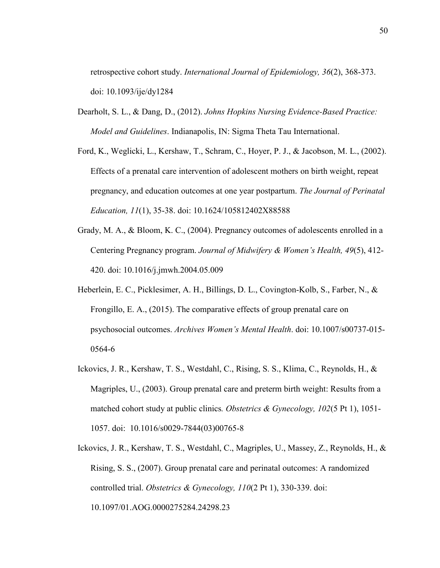retrospective cohort study. *International Journal of Epidemiology, 36*(2), 368-373. doi: 10.1093/ije/dy1284

- Dearholt, S. L., & Dang, D., (2012). *Johns Hopkins Nursing Evidence-Based Practice: Model and Guidelines*. Indianapolis, IN: Sigma Theta Tau International.
- Ford, K., Weglicki, L., Kershaw, T., Schram, C., Hoyer, P. J., & Jacobson, M. L., (2002). Effects of a prenatal care intervention of adolescent mothers on birth weight, repeat pregnancy, and education outcomes at one year postpartum. *The Journal of Perinatal Education, 11*(1), 35-38. doi: 10.1624/105812402X88588
- Grady, M. A., & Bloom, K. C., (2004). Pregnancy outcomes of adolescents enrolled in a Centering Pregnancy program. *Journal of Midwifery & Women's Health, 49*(5), 412- 420. doi: 10.1016/j.jmwh.2004.05.009
- Heberlein, E. C., Picklesimer, A. H., Billings, D. L., Covington-Kolb, S., Farber, N., & Frongillo, E. A., (2015). The comparative effects of group prenatal care on psychosocial outcomes. *Archives Women's Mental Health*. doi: 10.1007/s00737-015- 0564-6
- Ickovics, J. R., Kershaw, T. S., Westdahl, C., Rising, S. S., Klima, C., Reynolds, H., & Magriples, U., (2003). Group prenatal care and preterm birth weight: Results from a matched cohort study at public clinics*. Obstetrics & Gynecology, 102*(5 Pt 1), 1051- 1057. doi: 10.1016/s0029-7844(03)00765-8
- Ickovics, J. R., Kershaw, T. S., Westdahl, C., Magriples, U., Massey, Z., Reynolds, H., & Rising, S. S., (2007). Group prenatal care and perinatal outcomes: A randomized controlled trial. *Obstetrics & Gynecology, 110*(2 Pt 1), 330-339. doi: 10.1097/01.AOG.0000275284.24298.23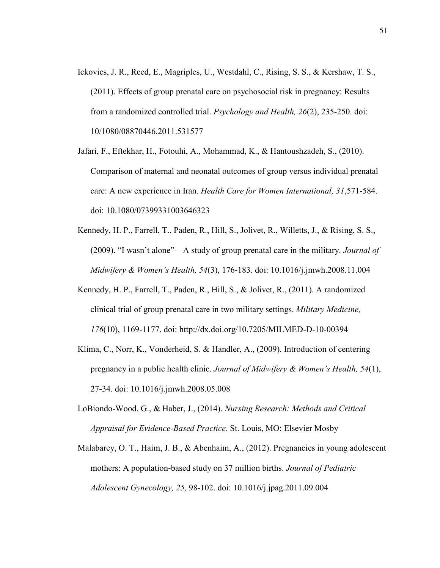- Ickovics, J. R., Reed, E., Magriples, U., Westdahl, C., Rising, S. S., & Kershaw, T. S., (2011). Effects of group prenatal care on psychosocial risk in pregnancy: Results from a randomized controlled trial. *Psychology and Health, 26*(2), 235-250. doi: 10/1080/08870446.2011.531577
- Jafari, F., Eftekhar, H., Fotouhi, A., Mohammad, K., & Hantoushzadeh, S., (2010). Comparison of maternal and neonatal outcomes of group versus individual prenatal care: A new experience in Iran. *Health Care for Women International, 31*,571-584. doi: 10.1080/07399331003646323
- Kennedy, H. P., Farrell, T., Paden, R., Hill, S., Jolivet, R., Willetts, J., & Rising, S. S., (2009). "I wasn't alone"—A study of group prenatal care in the military. *Journal of Midwifery & Women's Health, 54*(3), 176-183. doi: 10.1016/j.jmwh.2008.11.004
- Kennedy, H. P., Farrell, T., Paden, R., Hill, S., & Jolivet, R., (2011). A randomized clinical trial of group prenatal care in two military settings. *Military Medicine, 176*(10), 1169-1177. doi: http://dx.doi.org/10.7205/MILMED-D-10-00394
- Klima, C., Norr, K., Vonderheid, S. & Handler, A., (2009). Introduction of centering pregnancy in a public health clinic. *Journal of Midwifery & Women's Health, 54*(1), 27-34. doi: 10.1016/j.jmwh.2008.05.008
- LoBiondo-Wood, G., & Haber, J., (2014). *Nursing Research: Methods and Critical Appraisal for Evidence-Based Practice*. St. Louis, MO: Elsevier Mosby
- Malabarey, O. T., Haim, J. B., & Abenhaim, A., (2012). Pregnancies in young adolescent mothers: A population-based study on 37 million births. *Journal of Pediatric Adolescent Gynecology, 25,* 98-102. doi: 10.1016/j.jpag.2011.09.004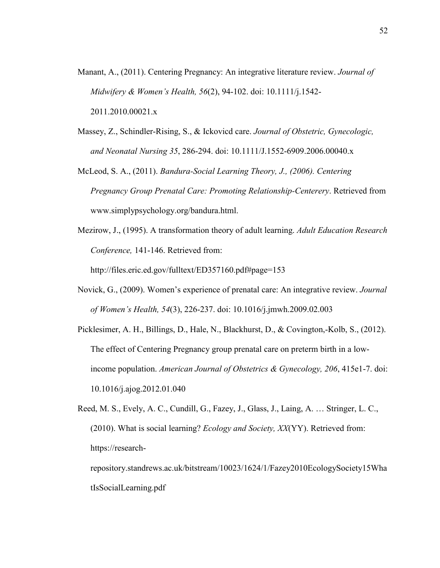- Manant, A., (2011). Centering Pregnancy: An integrative literature review. *Journal of Midwifery & Women's Health, 56*(2), 94-102. doi: 10.1111/j.1542- 2011.2010.00021.x
- Massey, Z., Schindler-Rising, S., & Ickovicd care. *Journal of Obstetric, Gynecologic, and Neonatal Nursing 35*, 286-294. doi: 10.1111/J.1552-6909.2006.00040.x
- McLeod, S. A., (2011). *Bandura-Social Learning Theory, J., (2006). Centering Pregnancy Group Prenatal Care: Promoting Relationship-Centerery*. Retrieved from www.simplypsychology.org/bandura.html.
- Mezirow, J., (1995). A transformation theory of adult learning. *Adult Education Research Conference,* 141-146. Retrieved from:

http://files.eric.ed.gov/fulltext/ED357160.pdf#page=153

- Novick, G., (2009). Women's experience of prenatal care: An integrative review. *Journal of Women's Health, 54*(3), 226-237. doi: 10.1016/j.jmwh.2009.02.003
- Picklesimer, A. H., Billings, D., Hale, N., Blackhurst, D., & Covington,-Kolb, S., (2012). The effect of Centering Pregnancy group prenatal care on preterm birth in a lowincome population. *American Journal of Obstetrics & Gynecology, 206*, 415e1-7. doi: 10.1016/j.ajog.2012.01.040

Reed, M. S., Evely, A. C., Cundill, G., Fazey, J., Glass, J., Laing, A. … Stringer, L. C., (2010). What is social learning? *Ecology and Society, XX*(YY). Retrieved from: https://research-

repository.standrews.ac.uk/bitstream/10023/1624/1/Fazey2010EcologySociety15Wha tIsSocialLearning.pdf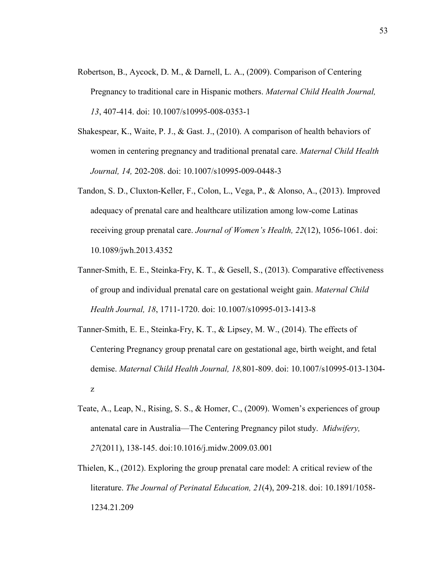- Robertson, B., Aycock, D. M., & Darnell, L. A., (2009). Comparison of Centering Pregnancy to traditional care in Hispanic mothers. *Maternal Child Health Journal, 13*, 407-414. doi: 10.1007/s10995-008-0353-1
- Shakespear, K., Waite, P. J., & Gast. J., (2010). A comparison of health behaviors of women in centering pregnancy and traditional prenatal care. *Maternal Child Health Journal, 14,* 202-208. doi: 10.1007/s10995-009-0448-3
- Tandon, S. D., Cluxton-Keller, F., Colon, L., Vega, P., & Alonso, A., (2013). Improved adequacy of prenatal care and healthcare utilization among low-come Latinas receiving group prenatal care. *Journal of Women's Health, 22*(12), 1056-1061. doi: 10.1089/jwh.2013.4352
- Tanner-Smith, E. E., Steinka-Fry, K. T., & Gesell, S., (2013). Comparative effectiveness of group and individual prenatal care on gestational weight gain. *Maternal Child Health Journal, 18*, 1711-1720. doi: 10.1007/s10995-013-1413-8
- Tanner-Smith, E. E., Steinka-Fry, K. T., & Lipsey, M. W., (2014). The effects of Centering Pregnancy group prenatal care on gestational age, birth weight, and fetal demise. *Maternal Child Health Journal, 18,*801-809. doi: 10.1007/s10995-013-1304 z
- Teate, A., Leap, N., Rising, S. S., & Homer, C., (2009). Women's experiences of group antenatal care in Australia—The Centering Pregnancy pilot study. *Midwifery, 27*(2011), 138-145. doi:10.1016/j.midw.2009.03.001
- Thielen, K., (2012). Exploring the group prenatal care model: A critical review of the literature. *The Journal of Perinatal Education, 21*(4), 209-218. doi: 10.1891/1058- 1234.21.209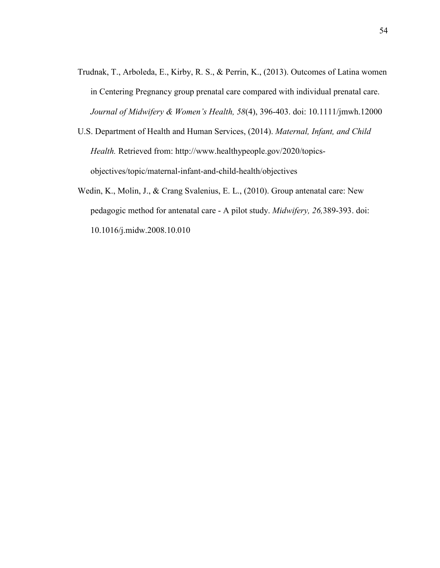- Trudnak, T., Arboleda, E., Kirby, R. S., & Perrin, K., (2013). Outcomes of Latina women in Centering Pregnancy group prenatal care compared with individual prenatal care. *Journal of Midwifery & Women's Health, 58*(4), 396-403. doi: 10.1111/jmwh.12000
- U.S. Department of Health and Human Services, (2014). *Maternal, Infant, and Child Health.* Retrieved from: http://www.healthypeople.gov/2020/topicsobjectives/topic/maternal-infant-and-child-health/objectives
- Wedin, K., Molin, J., & Crang Svalenius, E. L., (2010). Group antenatal care: New pedagogic method for antenatal care - A pilot study. *Midwifery, 26,*389-393. doi: 10.1016/j.midw.2008.10.010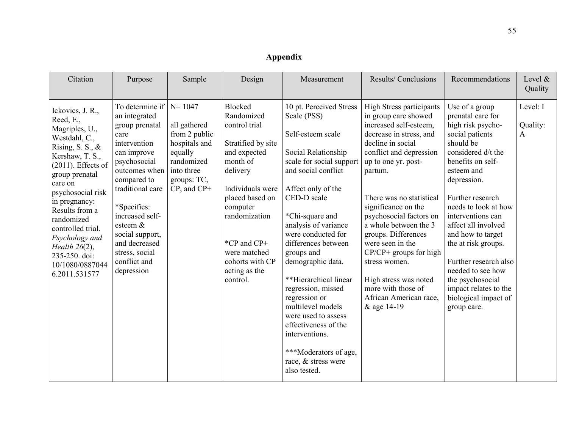# **Appendix**

| Citation                                                                                                                                                                                                                                                                                                                                               | Purpose                                                                                                                                                                                                                                                                                                    | Sample                                                                                                                   | Design                                                                                                                                                                                                                                                  | Measurement                                                                                                                                                                                                                                                                                                                                                                                                                                                                                                                 | Results/Conclusions                                                                                                                                                                                                                                                                                                                                                                                                                                                                   | Recommendations                                                                                                                                                                                                                                                                                                                                                                                                                        | Level $&$<br>Quality      |
|--------------------------------------------------------------------------------------------------------------------------------------------------------------------------------------------------------------------------------------------------------------------------------------------------------------------------------------------------------|------------------------------------------------------------------------------------------------------------------------------------------------------------------------------------------------------------------------------------------------------------------------------------------------------------|--------------------------------------------------------------------------------------------------------------------------|---------------------------------------------------------------------------------------------------------------------------------------------------------------------------------------------------------------------------------------------------------|-----------------------------------------------------------------------------------------------------------------------------------------------------------------------------------------------------------------------------------------------------------------------------------------------------------------------------------------------------------------------------------------------------------------------------------------------------------------------------------------------------------------------------|---------------------------------------------------------------------------------------------------------------------------------------------------------------------------------------------------------------------------------------------------------------------------------------------------------------------------------------------------------------------------------------------------------------------------------------------------------------------------------------|----------------------------------------------------------------------------------------------------------------------------------------------------------------------------------------------------------------------------------------------------------------------------------------------------------------------------------------------------------------------------------------------------------------------------------------|---------------------------|
| Ickovics, J. R.,<br>Reed, E.,<br>Magriples, U.,<br>Westdahl, C.,<br>Rising, S. S., $\&$<br>Kershaw, T. S.,<br>$(2011)$ . Effects of<br>group prenatal<br>care on<br>psychosocial risk<br>in pregnancy:<br>Results from a<br>randomized<br>controlled trial.<br>Psychology and<br>Health $26(2)$ ,<br>235-250. doi:<br>10/1080/0887044<br>6.2011.531577 | To determine if $N = 1047$<br>an integrated<br>group prenatal<br>care<br>intervention<br>can improve<br>psychosocial<br>outcomes when<br>compared to<br>traditional care<br>*Specifics:<br>increased self-<br>esteem &<br>social support,<br>and decreased<br>stress, social<br>conflict and<br>depression | all gathered<br>from 2 public<br>hospitals and<br>equally<br>randomized<br>into three<br>groups: TC,<br>$CP$ , and $CP+$ | Blocked<br>Randomized<br>control trial<br>Stratified by site<br>and expected<br>month of<br>delivery<br>Individuals were<br>placed based on<br>computer<br>randomization<br>*CP and CP+<br>were matched<br>cohorts with CP<br>acting as the<br>control. | 10 pt. Perceived Stress<br>Scale (PSS)<br>Self-esteem scale<br>Social Relationship<br>scale for social support<br>and social conflict<br>Affect only of the<br>CED-D scale<br>*Chi-square and<br>analysis of variance<br>were conducted for<br>differences between<br>groups and<br>demographic data.<br>**Hierarchical linear<br>regression, missed<br>regression or<br>multilevel models<br>were used to assess<br>effectiveness of the<br>interventions.<br>***Moderators of age,<br>race, & stress were<br>also tested. | <b>High Stress participants</b><br>in group care showed<br>increased self-esteem,<br>decrease in stress, and<br>decline in social<br>conflict and depression<br>up to one yr. post-<br>partum.<br>There was no statistical<br>significance on the<br>psychosocial factors on<br>a whole between the 3<br>groups. Differences<br>were seen in the<br>$CP/CP+$ groups for high<br>stress women.<br>High stress was noted<br>more with those of<br>African American race,<br>& age 14-19 | Use of a group<br>prenatal care for<br>high risk psycho-<br>social patients<br>should be<br>considered d/t the<br>benefits on self-<br>esteem and<br>depression.<br>Further research<br>needs to look at how<br>interventions can<br>affect all involved<br>and how to target<br>the at risk groups.<br>Further research also<br>needed to see how<br>the psychosocial<br>impact relates to the<br>biological impact of<br>group care. | Level: I<br>Quality:<br>A |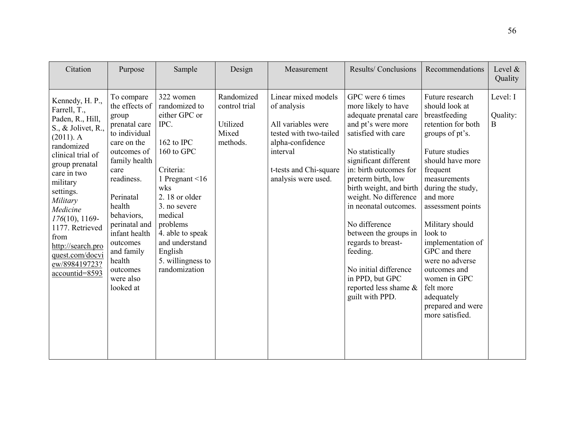| Citation                                                                                                                                                                                                                                                                                                                                  | Purpose                                                                                                                                                                                                                                                                                       | Sample                                                                                                                                                                                                                                                                     | Design                                                       | Measurement                                                                                                                                                         | Results/Conclusions                                                                                                                                                                                                                                                                                                                                                                                                                                          | Recommendations                                                                                                                                                                                                                                                                                                                                                                                               | Level $\&$<br>Quality            |
|-------------------------------------------------------------------------------------------------------------------------------------------------------------------------------------------------------------------------------------------------------------------------------------------------------------------------------------------|-----------------------------------------------------------------------------------------------------------------------------------------------------------------------------------------------------------------------------------------------------------------------------------------------|----------------------------------------------------------------------------------------------------------------------------------------------------------------------------------------------------------------------------------------------------------------------------|--------------------------------------------------------------|---------------------------------------------------------------------------------------------------------------------------------------------------------------------|--------------------------------------------------------------------------------------------------------------------------------------------------------------------------------------------------------------------------------------------------------------------------------------------------------------------------------------------------------------------------------------------------------------------------------------------------------------|---------------------------------------------------------------------------------------------------------------------------------------------------------------------------------------------------------------------------------------------------------------------------------------------------------------------------------------------------------------------------------------------------------------|----------------------------------|
| Kennedy, H. P.,<br>Farrell, T.,<br>Paden, R., Hill,<br>S., & Jolivet, R.,<br>$(2011)$ . A<br>randomized<br>clinical trial of<br>group prenatal<br>care in two<br>military<br>settings.<br>Military<br>Medicine<br>$176(10)$ , 1169-<br>1177. Retrieved<br>from<br>http://search.pro<br>quest.com/docvi<br>ew/898419723?<br>accountid=8593 | To compare<br>the effects of<br>group<br>prenatal care<br>to individual<br>care on the<br>outcomes of<br>family health<br>care<br>readiness.<br>Perinatal<br>health<br>behaviors,<br>perinatal and<br>infant health<br>outcomes<br>and family<br>health<br>outcomes<br>were also<br>looked at | 322 women<br>randomized to<br>either GPC or<br>IPC.<br>162 to IPC<br>160 to GPC<br>Criteria:<br>1 Pregnant $\leq 16$<br>wks<br>2.18 or older<br>3. no severe<br>medical<br>problems<br>4. able to speak<br>and understand<br>English<br>5. willingness to<br>randomization | Randomized<br>control trial<br>Utilized<br>Mixed<br>methods. | Linear mixed models<br>of analysis<br>All variables were<br>tested with two-tailed<br>alpha-confidence<br>interval<br>t-tests and Chi-square<br>analysis were used. | GPC were 6 times<br>more likely to have<br>adequate prenatal care<br>and pt's were more<br>satisfied with care<br>No statistically<br>significant different<br>in: birth outcomes for<br>preterm birth, low<br>birth weight, and birth<br>weight. No difference<br>in neonatal outcomes.<br>No difference<br>between the groups in<br>regards to breast-<br>feeding.<br>No initial difference<br>in PPD, but GPC<br>reported less shame &<br>guilt with PPD. | Future research<br>should look at<br>breastfeeding<br>retention for both<br>groups of pt's.<br>Future studies<br>should have more<br>frequent<br>measurements<br>during the study,<br>and more<br>assessment points<br>Military should<br>look to<br>implementation of<br>GPC and there<br>were no adverse<br>outcomes and<br>women in GPC<br>felt more<br>adequately<br>prepared and were<br>more satisfied. | Level: I<br>Quality:<br>$\bf{B}$ |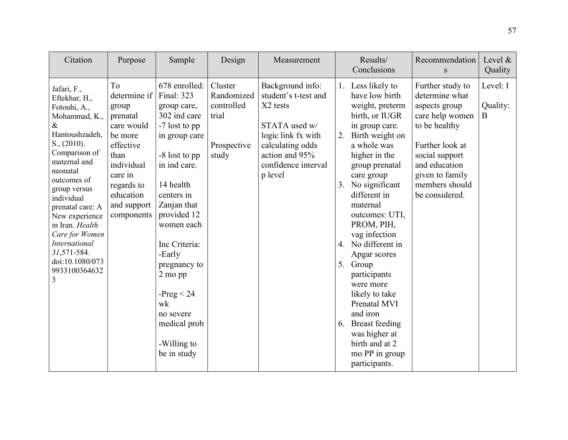| Citation                                                                                                                                                                                                                                                                                                                                                       | Purpose                                                                                                                                                                | Sample                                                                                                                                                                                                                                                                                                                                      | Design                                                               | Measurement                                                                                                                                                         |                            | Results/<br>Conclusions                                                                                                                                                                                                                                                                                                                                                                                                                                                                           | Recommendation<br>${\bf S}$                                                                                                                                                                          | Level $\&$<br>Quality     |
|----------------------------------------------------------------------------------------------------------------------------------------------------------------------------------------------------------------------------------------------------------------------------------------------------------------------------------------------------------------|------------------------------------------------------------------------------------------------------------------------------------------------------------------------|---------------------------------------------------------------------------------------------------------------------------------------------------------------------------------------------------------------------------------------------------------------------------------------------------------------------------------------------|----------------------------------------------------------------------|---------------------------------------------------------------------------------------------------------------------------------------------------------------------|----------------------------|---------------------------------------------------------------------------------------------------------------------------------------------------------------------------------------------------------------------------------------------------------------------------------------------------------------------------------------------------------------------------------------------------------------------------------------------------------------------------------------------------|------------------------------------------------------------------------------------------------------------------------------------------------------------------------------------------------------|---------------------------|
| Jafari, F.,<br>Eftekhar, H.,<br>Fotouhi, A.,<br>Mohammad, K.,<br>$\&$<br>Hantoushzadeh,<br>$S_{\cdot}$ , (2010).<br>Comparison of<br>maternal and<br>neonatal<br>outcomes of<br>group versus<br>individual<br>prenatal care: A<br>New experience<br>in Iran. Health<br>Care for Women<br>International<br>31,571-584.<br>doi:10.1080/073<br>9933100364632<br>3 | To<br>determine if<br>group<br>prenatal<br>care would<br>be more<br>effective<br>than<br>individual<br>care in<br>regards to<br>education<br>and support<br>components | 678 enrolled:<br>Final: 323<br>group care,<br>302 ind care<br>-7 lost to pp<br>in group care<br>-8 lost to pp<br>in ind care.<br>14 health<br>centers in<br>Zanjan that<br>provided 12<br>women each<br>Inc Criteria:<br>-Early<br>pregnancy to<br>2 mo pp<br>$-Preg < 24$<br>wk<br>no severe<br>medical prob<br>-Willing to<br>be in study | Cluster<br>Randomized<br>controlled<br>trial<br>Prospective<br>study | Background info:<br>student's t-test and<br>X2 tests<br>STATA used w/<br>logic link fx with<br>calculating odds<br>action and 95%<br>confidence interval<br>p level | 2.<br>3.<br>$\overline{4}$ | 1. Less likely to<br>have low birth<br>weight, preterm<br>birth, or IUGR<br>in group care.<br>Birth weight on<br>a whole was<br>higher in the<br>group prenatal<br>care group<br>No significant<br>different in<br>maternal<br>outcomes: UTI,<br>PROM, PIH,<br>vag infection<br>No different in<br>Apgar scores<br>5. Group<br>participants<br>were more<br>likely to take<br>Prenatal MVI<br>and iron<br>6. Breast feeding<br>was higher at<br>birth and at 2<br>mo PP in group<br>participants. | Further study to<br>determine what<br>aspects group<br>care help women<br>to be healthy<br>Further look at<br>social support<br>and education<br>given to family<br>members should<br>be considered. | Level: I<br>Quality:<br>B |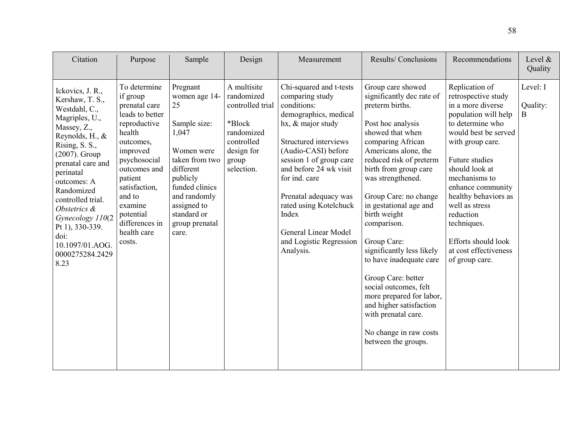| Citation                                                                                                                                                                                                                                                                                                                                           | Purpose                                                                                                                                                                                                                                                  | Sample                                                                                                                                                                                                       | Design                                                                                                                   | Measurement                                                                                                                                                                                                                                                                                                                                                      | <b>Results/Conclusions</b>                                                                                                                                                                                                                                                                                                                                                                                                                                                                                                                                              | Recommendations                                                                                                                                                                                                                                                                                                                                                      | Level $\&$<br>Quality     |
|----------------------------------------------------------------------------------------------------------------------------------------------------------------------------------------------------------------------------------------------------------------------------------------------------------------------------------------------------|----------------------------------------------------------------------------------------------------------------------------------------------------------------------------------------------------------------------------------------------------------|--------------------------------------------------------------------------------------------------------------------------------------------------------------------------------------------------------------|--------------------------------------------------------------------------------------------------------------------------|------------------------------------------------------------------------------------------------------------------------------------------------------------------------------------------------------------------------------------------------------------------------------------------------------------------------------------------------------------------|-------------------------------------------------------------------------------------------------------------------------------------------------------------------------------------------------------------------------------------------------------------------------------------------------------------------------------------------------------------------------------------------------------------------------------------------------------------------------------------------------------------------------------------------------------------------------|----------------------------------------------------------------------------------------------------------------------------------------------------------------------------------------------------------------------------------------------------------------------------------------------------------------------------------------------------------------------|---------------------------|
| Ickovics, J. R.,<br>Kershaw, T. S.,<br>Westdahl, C.,<br>Magriples, U.,<br>Massey, Z.,<br>Reynolds, H., $\&$<br>Rising, S. S.,<br>$(2007)$ . Group<br>prenatal care and<br>perinatal<br>outcomes: A<br>Randomized<br>controlled trial.<br>Obstetrics &<br>Gynecology 110(2<br>Pt 1), 330-339.<br>doi:<br>10.1097/01.AOG.<br>0000275284.2429<br>8.23 | To determine<br>if group<br>prenatal care<br>leads to better<br>reproductive<br>health<br>outcomes,<br>improved<br>psychosocial<br>outcomes and<br>patient<br>satisfaction,<br>and to<br>examine<br>potential<br>differences in<br>health care<br>costs. | Pregnant<br>women age 14-<br>25<br>Sample size:<br>1,047<br>Women were<br>taken from two<br>different<br>publicly<br>funded clinics<br>and randomly<br>assigned to<br>standard or<br>group prenatal<br>care. | A multisite<br>randomized<br>controlled trial<br>*Block<br>randomized<br>controlled<br>design for<br>group<br>selection. | Chi-squared and t-tests<br>comparing study<br>conditions:<br>demographics, medical<br>hx, & major study<br>Structured interviews<br>(Audio-CASI) before<br>session 1 of group care<br>and before 24 wk visit<br>for ind. care<br>Prenatal adequacy was<br>rated using Kotelchuck<br>Index<br><b>General Linear Model</b><br>and Logistic Regression<br>Analysis. | Group care showed<br>significantly dec rate of<br>preterm births.<br>Post hoc analysis<br>showed that when<br>comparing African<br>Americans alone, the<br>reduced risk of preterm<br>birth from group care<br>was strengthened.<br>Group Care: no change<br>in gestational age and<br>birth weight<br>comparison.<br>Group Care:<br>significantly less likely<br>to have inadequate care<br>Group Care: better<br>social outcomes, felt<br>more prepared for labor,<br>and higher satisfaction<br>with prenatal care.<br>No change in raw costs<br>between the groups. | Replication of<br>retrospective study<br>in a more diverse<br>population will help<br>to determine who<br>would best be served<br>with group care.<br>Future studies<br>should look at<br>mechanisms to<br>enhance community<br>healthy behaviors as<br>well as stress<br>reduction<br>techniques.<br>Efforts should look<br>at cost effectiveness<br>of group care. | Level: I<br>Quality:<br>B |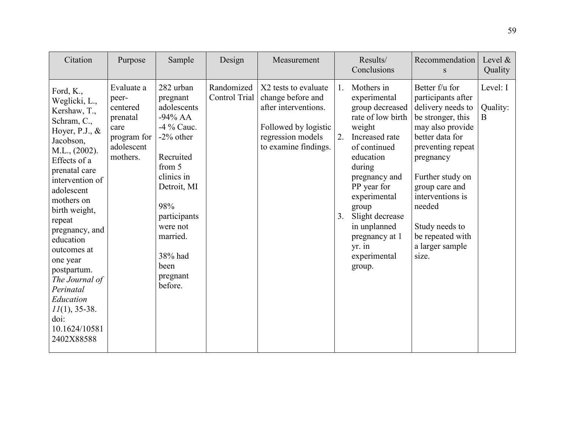| Citation                                                                                                                                                                                                                                                                                                                                                                                              | Purpose                                                                                      | Sample                                                                                                                                                                                                                        | Design                      | Measurement                                                                                                                            |                | Results/<br>Conclusions                                                                                                                                                                                                                                                                   | Recommendation<br>S                                                                                                                                                                                                                                                                           | Level $\&$<br>Quality     |
|-------------------------------------------------------------------------------------------------------------------------------------------------------------------------------------------------------------------------------------------------------------------------------------------------------------------------------------------------------------------------------------------------------|----------------------------------------------------------------------------------------------|-------------------------------------------------------------------------------------------------------------------------------------------------------------------------------------------------------------------------------|-----------------------------|----------------------------------------------------------------------------------------------------------------------------------------|----------------|-------------------------------------------------------------------------------------------------------------------------------------------------------------------------------------------------------------------------------------------------------------------------------------------|-----------------------------------------------------------------------------------------------------------------------------------------------------------------------------------------------------------------------------------------------------------------------------------------------|---------------------------|
| Ford, K.,<br>Weglicki, L.,<br>Kershaw, T.,<br>Schram, C.,<br>Hoyer, P.J., $&$<br>Jacobson,<br>M.L., (2002).<br>Effects of a<br>prenatal care<br>intervention of<br>adolescent<br>mothers on<br>birth weight,<br>repeat<br>pregnancy, and<br>education<br>outcomes at<br>one year<br>postpartum.<br>The Journal of<br>Perinatal<br>Education<br>$11(1), 35-38.$<br>doi:<br>10.1624/10581<br>2402X88588 | Evaluate a<br>peer-<br>centered<br>prenatal<br>care<br>program for<br>adolescent<br>mothers. | 282 urban<br>pregnant<br>adolescents<br>$-94\%$ AA<br>-4 % Cauc.<br>$-2\%$ other<br>Recruited<br>from 5<br>clinics in<br>Detroit, MI<br>98%<br>participants<br>were not<br>married.<br>38% had<br>been<br>pregnant<br>before. | Randomized<br>Control Trial | X2 tests to evaluate<br>change before and<br>after interventions.<br>Followed by logistic<br>regression models<br>to examine findings. | 1.<br>2.<br>3. | Mothers in<br>experimental<br>group decreased<br>rate of low birth<br>weight<br>Increased rate<br>of continued<br>education<br>during<br>pregnancy and<br>PP year for<br>experimental<br>group<br>Slight decrease<br>in unplanned<br>pregnancy at 1<br>$yr.$ in<br>experimental<br>group. | Better f/u for<br>participants after<br>delivery needs to<br>be stronger, this<br>may also provide<br>better data for<br>preventing repeat<br>pregnancy<br>Further study on<br>group care and<br>interventions is<br>needed<br>Study needs to<br>be repeated with<br>a larger sample<br>size. | Level: I<br>Quality:<br>B |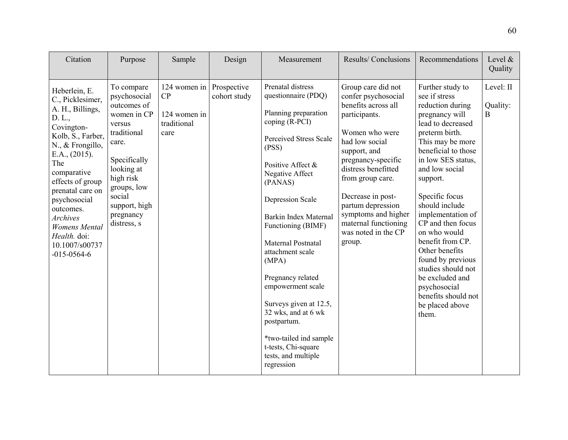| Citation                                                                                                                                                                                                                                                                                                                             | Purpose                                                                                                                                                                                                     | Sample                                                                | Design       | Measurement                                                                                                                                                                                                                                                                                                                                                                                                                                                                                                         | Results/Conclusions                                                                                                                                                                                                                                                                                                              | Recommendations                                                                                                                                                                                                                                                                                                                                                                                                                                                                    | Level $\&$<br>Quality      |
|--------------------------------------------------------------------------------------------------------------------------------------------------------------------------------------------------------------------------------------------------------------------------------------------------------------------------------------|-------------------------------------------------------------------------------------------------------------------------------------------------------------------------------------------------------------|-----------------------------------------------------------------------|--------------|---------------------------------------------------------------------------------------------------------------------------------------------------------------------------------------------------------------------------------------------------------------------------------------------------------------------------------------------------------------------------------------------------------------------------------------------------------------------------------------------------------------------|----------------------------------------------------------------------------------------------------------------------------------------------------------------------------------------------------------------------------------------------------------------------------------------------------------------------------------|------------------------------------------------------------------------------------------------------------------------------------------------------------------------------------------------------------------------------------------------------------------------------------------------------------------------------------------------------------------------------------------------------------------------------------------------------------------------------------|----------------------------|
| Heberlein, E.<br>C., Picklesimer,<br>A. H., Billings,<br>D. L.,<br>Covington-<br>Kolb, S., Farber,<br>N., & Frongillo,<br>E.A., (2015).<br>The<br>comparative<br>effects of group<br>prenatal care on<br>psychosocial<br>outcomes.<br><b>Archives</b><br><b>Womens</b> Mental<br>Health. doi:<br>10.1007/s00737<br>$-015 - 0564 - 6$ | To compare<br>psychosocial<br>outcomes of<br>women in CP<br>versus<br>traditional<br>care.<br>Specifically<br>looking at<br>high risk<br>groups, low<br>social<br>support, high<br>pregnancy<br>distress, s | 124 women in Prospective<br>CP<br>124 women in<br>traditional<br>care | cohort study | Prenatal distress<br>questionnaire (PDQ)<br>Planning preparation<br>coping (R-PCI)<br><b>Perceived Stress Scale</b><br>(PSS)<br>Positive Affect &<br>Negative Affect<br>(PANAS)<br><b>Depression Scale</b><br><b>Barkin Index Maternal</b><br>Functioning (BIMF)<br>Maternal Postnatal<br>attachment scale<br>(MPA)<br>Pregnancy related<br>empowerment scale<br>Surveys given at 12.5,<br>32 wks, and at 6 wk<br>postpartum.<br>*two-tailed ind sample<br>t-tests, Chi-square<br>tests, and multiple<br>regression | Group care did not<br>confer psychosocial<br>benefits across all<br>participants.<br>Women who were<br>had low social<br>support, and<br>pregnancy-specific<br>distress benefitted<br>from group care.<br>Decrease in post-<br>partum depression<br>symptoms and higher<br>maternal functioning<br>was noted in the CP<br>group. | Further study to<br>see if stress<br>reduction during<br>pregnancy will<br>lead to decreased<br>preterm birth.<br>This may be more<br>beneficial to those<br>in low SES status,<br>and low social<br>support.<br>Specific focus<br>should include<br>implementation of<br>CP and then focus<br>on who would<br>benefit from CP.<br>Other benefits<br>found by previous<br>studies should not<br>be excluded and<br>psychosocial<br>benefits should not<br>be placed above<br>them. | Level: II<br>Quality:<br>B |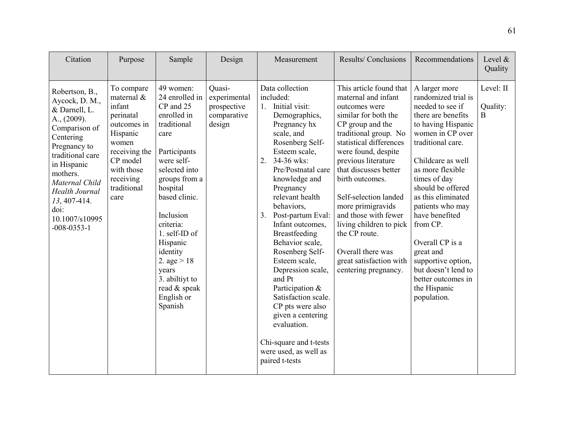| Citation                                                                                                                                                                                                                                                                | Purpose                                                                                                                                                               | Sample                                                                                                                                                                                                                                                                                                                              | Design                                                         | Measurement                                                                                                                                                                                                                                                                                                                                                                                                                                                                                                                                                                | Results/Conclusions                                                                                                                                                                                                                                                                                                                                                                                                                                 | Recommendations                                                                                                                                                                                                                                                                                                                                                                                                                       | Level $\&$<br>Quality      |
|-------------------------------------------------------------------------------------------------------------------------------------------------------------------------------------------------------------------------------------------------------------------------|-----------------------------------------------------------------------------------------------------------------------------------------------------------------------|-------------------------------------------------------------------------------------------------------------------------------------------------------------------------------------------------------------------------------------------------------------------------------------------------------------------------------------|----------------------------------------------------------------|----------------------------------------------------------------------------------------------------------------------------------------------------------------------------------------------------------------------------------------------------------------------------------------------------------------------------------------------------------------------------------------------------------------------------------------------------------------------------------------------------------------------------------------------------------------------------|-----------------------------------------------------------------------------------------------------------------------------------------------------------------------------------------------------------------------------------------------------------------------------------------------------------------------------------------------------------------------------------------------------------------------------------------------------|---------------------------------------------------------------------------------------------------------------------------------------------------------------------------------------------------------------------------------------------------------------------------------------------------------------------------------------------------------------------------------------------------------------------------------------|----------------------------|
| Robertson, B.,<br>Aycock, D. M.,<br>& Darnell, L.<br>A., (2009).<br>Comparison of<br>Centering<br>Pregnancy to<br>traditional care<br>in Hispanic<br>mothers.<br>Maternal Child<br><b>Health Journal</b><br>13, 407-414.<br>doi:<br>10.1007/s10995<br>$-008 - 0353 - 1$ | To compare<br>maternal $\&$<br>infant<br>perinatal<br>outcomes in<br>Hispanic<br>women<br>receiving the<br>CP model<br>with those<br>receiving<br>traditional<br>care | 49 women:<br>24 enrolled in<br>CP and 25<br>enrolled in<br>traditional<br>care<br>Participants<br>were self-<br>selected into<br>groups from a<br>hospital<br>based clinic.<br>Inclusion<br>criteria:<br>1. self-ID of<br>Hispanic<br>identity<br>2. age $> 18$<br>years<br>3. abiltiyt to<br>read & speak<br>English or<br>Spanish | Quasi-<br>experimental<br>prospective<br>comparative<br>design | Data collection<br>included:<br>1. Initial visit:<br>Demographics,<br>Pregnancy hx<br>scale, and<br>Rosenberg Self-<br>Esteem scale,<br>34-36 wks:<br>2.<br>Pre/Postnatal care<br>knowledge and<br>Pregnancy<br>relevant health<br>behaviors,<br>Post-partum Eval:<br>3.<br>Infant outcomes,<br>Breastfeeding<br>Behavior scale,<br>Rosenberg Self-<br>Esteem scale,<br>Depression scale,<br>and Pt<br>Participation &<br>Satisfaction scale.<br>CP pts were also<br>given a centering<br>evaluation.<br>Chi-square and t-tests<br>were used, as well as<br>paired t-tests | This article found that<br>maternal and infant<br>outcomes were<br>similar for both the<br>CP group and the<br>traditional group. No<br>statistical differences<br>were found, despite<br>previous literature<br>that discusses better<br>birth outcomes.<br>Self-selection landed<br>more primigravids<br>and those with fewer<br>living children to pick<br>the CP route.<br>Overall there was<br>great satisfaction with<br>centering pregnancy. | A larger more<br>randomized trial is<br>needed to see if<br>there are benefits<br>to having Hispanic<br>women in CP over<br>traditional care.<br>Childcare as well<br>as more flexible<br>times of day<br>should be offered<br>as this eliminated<br>patients who may<br>have benefited<br>from CP.<br>Overall CP is a<br>great and<br>supportive option,<br>but doesn't lend to<br>better outcomes in<br>the Hispanic<br>population. | Level: II<br>Quality:<br>B |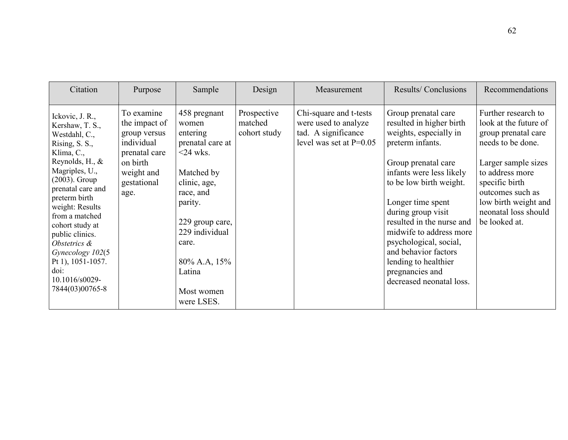| Citation                                                                                                                                                                                                                                                                                                                                                               | Purpose                                                                                                                     | Sample                                                                                                                                                                                                                        | Design                                 | Measurement                                                                                        | Results/Conclusions                                                                                                                                                                                                                                                                                                                                                                                     | Recommendations                                                                                                                                                                                                                           |
|------------------------------------------------------------------------------------------------------------------------------------------------------------------------------------------------------------------------------------------------------------------------------------------------------------------------------------------------------------------------|-----------------------------------------------------------------------------------------------------------------------------|-------------------------------------------------------------------------------------------------------------------------------------------------------------------------------------------------------------------------------|----------------------------------------|----------------------------------------------------------------------------------------------------|---------------------------------------------------------------------------------------------------------------------------------------------------------------------------------------------------------------------------------------------------------------------------------------------------------------------------------------------------------------------------------------------------------|-------------------------------------------------------------------------------------------------------------------------------------------------------------------------------------------------------------------------------------------|
| Ickovic, J. R.,<br>Kershaw, T. S.,<br>Westdahl, C.,<br>Rising, S. S.,<br>Klima, C.,<br>Reynolds, H., $\&$<br>Magriples, U.,<br>$(2003)$ . Group<br>prenatal care and<br>preterm birth<br>weight: Results<br>from a matched<br>cohort study at<br>public clinics.<br>Obstetrics &<br>Gynecology 102(5<br>Pt 1), 1051-1057.<br>doi:<br>10.1016/s0029-<br>7844(03)00765-8 | To examine<br>the impact of<br>group versus<br>individual<br>prenatal care<br>on birth<br>weight and<br>gestational<br>age. | 458 pregnant<br>women<br>entering<br>prenatal care at<br>$<24$ wks.<br>Matched by<br>clinic, age,<br>race, and<br>parity.<br>229 group care,<br>229 individual<br>care.<br>80% A.A, 15%<br>Latina<br>Most women<br>were LSES. | Prospective<br>matched<br>cohort study | Chi-square and t-tests<br>were used to analyze<br>tad. A significance<br>level was set at $P=0.05$ | Group prenatal care<br>resulted in higher birth<br>weights, especially in<br>preterm infants.<br>Group prenatal care<br>infants were less likely<br>to be low birth weight.<br>Longer time spent<br>during group visit<br>resulted in the nurse and<br>midwife to address more<br>psychological, social,<br>and behavior factors<br>lending to healthier<br>pregnancies and<br>decreased neonatal loss. | Further research to<br>look at the future of<br>group prenatal care<br>needs to be done.<br>Larger sample sizes<br>to address more<br>specific birth<br>outcomes such as<br>low birth weight and<br>neonatal loss should<br>be looked at. |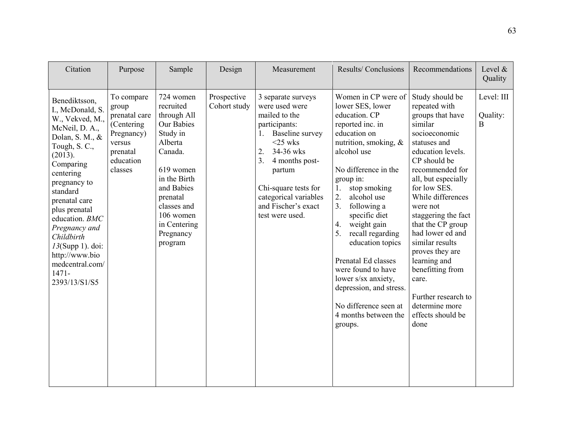| Citation                                                                                                                                                                                                                                                                                                                                                | Purpose                                                                                                         | Sample                                                                                                                                                                                                           | Design                      | Measurement                                                                                                                                                                                                                                                   | Results/Conclusions                                                                                                                                                                                                                                                                                                                                                                                                                                                                         | Recommendations                                                                                                                                                                                                                                                                                                                                                                                                                                           | Level $\&$<br>Quality       |
|---------------------------------------------------------------------------------------------------------------------------------------------------------------------------------------------------------------------------------------------------------------------------------------------------------------------------------------------------------|-----------------------------------------------------------------------------------------------------------------|------------------------------------------------------------------------------------------------------------------------------------------------------------------------------------------------------------------|-----------------------------|---------------------------------------------------------------------------------------------------------------------------------------------------------------------------------------------------------------------------------------------------------------|---------------------------------------------------------------------------------------------------------------------------------------------------------------------------------------------------------------------------------------------------------------------------------------------------------------------------------------------------------------------------------------------------------------------------------------------------------------------------------------------|-----------------------------------------------------------------------------------------------------------------------------------------------------------------------------------------------------------------------------------------------------------------------------------------------------------------------------------------------------------------------------------------------------------------------------------------------------------|-----------------------------|
| Benediktsson,<br>I., McDonald, S.<br>W., Vekved, M.,<br>McNeil, D. A.,<br>Dolan, S. M., &<br>Tough, S. C.,<br>(2013).<br>Comparing<br>centering<br>pregnancy to<br>standard<br>prenatal care<br>plus prenatal<br>education. BMC<br>Pregnancy and<br>Childbirth<br>$13$ (Supp 1). doi:<br>http://www.bio<br>medcentral.com/<br>$1471 -$<br>2393/13/S1/S5 | To compare<br>group<br>prenatal care<br>(Centering)<br>Pregnancy)<br>versus<br>prenatal<br>education<br>classes | 724 women<br>recruited<br>through All<br>Our Babies<br>Study in<br>Alberta<br>Canada.<br>619 women<br>in the Birth<br>and Babies<br>prenatal<br>classes and<br>106 women<br>in Centering<br>Pregnancy<br>program | Prospective<br>Cohort study | 3 separate surveys<br>were used were<br>mailed to the<br>participants:<br>Baseline survey<br>1.<br>$<$ 25 wks<br>2.<br>34-36 wks<br>3.<br>4 months post-<br>partum<br>Chi-square tests for<br>categorical variables<br>and Fischer's exact<br>test were used. | Women in CP were of<br>lower SES, lower<br>education. CP<br>reported inc. in<br>education on<br>nutrition, smoking, $\&$<br>alcohol use<br>No difference in the<br>group in:<br>stop smoking<br>1.<br>alcohol use<br>2.<br>3.<br>following a<br>specific diet<br>weight gain<br>4.<br>5.<br>recall regarding<br>education topics<br>Prenatal Ed classes<br>were found to have<br>lower s/sx anxiety,<br>depression, and stress.<br>No difference seen at<br>4 months between the<br>groups. | Study should be<br>repeated with<br>groups that have<br>similar<br>socioeconomic<br>statuses and<br>education levels.<br>CP should be<br>recommended for<br>all, but especially<br>for low SES.<br>While differences<br>were not<br>staggering the fact<br>that the CP group<br>had lower ed and<br>similar results<br>proves they are<br>learning and<br>benefitting from<br>care.<br>Further research to<br>determine more<br>effects should be<br>done | Level: III<br>Quality:<br>B |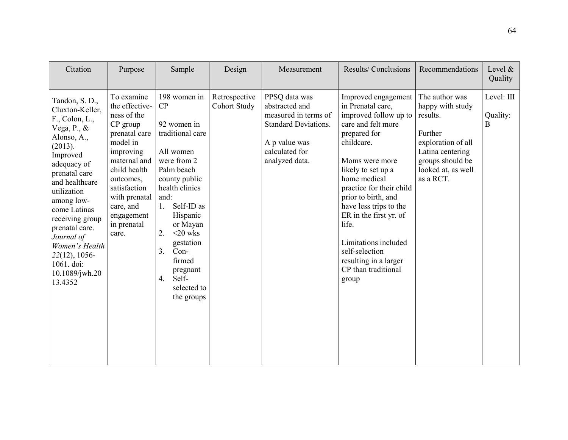| Citation                                                                                                                                                                                                                                                                                                                                              | Purpose                                                                                                                                                                                                                            | Sample                                                                                                                                                                                                                                                                                                    | Design                               | Measurement                                                                                                                                 | Results/Conclusions                                                                                                                                                                                                                                                                                                                                                                              | Recommendations                                                                                                                                            | Level $\&$<br>Quality       |
|-------------------------------------------------------------------------------------------------------------------------------------------------------------------------------------------------------------------------------------------------------------------------------------------------------------------------------------------------------|------------------------------------------------------------------------------------------------------------------------------------------------------------------------------------------------------------------------------------|-----------------------------------------------------------------------------------------------------------------------------------------------------------------------------------------------------------------------------------------------------------------------------------------------------------|--------------------------------------|---------------------------------------------------------------------------------------------------------------------------------------------|--------------------------------------------------------------------------------------------------------------------------------------------------------------------------------------------------------------------------------------------------------------------------------------------------------------------------------------------------------------------------------------------------|------------------------------------------------------------------------------------------------------------------------------------------------------------|-----------------------------|
| Tandon, S. D.,<br>Cluxton-Keller,<br>$F_{\cdot}$ , Colon, L.,<br>Vega, P., &<br>Alonso, A.,<br>(2013).<br>Improved<br>adequacy of<br>prenatal care<br>and healthcare<br>utilization<br>among low-<br>come Latinas<br>receiving group<br>prenatal care.<br>Journal of<br>Women's Health<br>$22(12)$ , 1056-<br>1061. doi:<br>10.1089/jwh.20<br>13.4352 | To examine<br>the effective-<br>ness of the<br>CP group<br>prenatal care<br>model in<br>improving<br>maternal and<br>child health<br>outcomes,<br>satisfaction<br>with prenatal<br>care, and<br>engagement<br>in prenatal<br>care. | 198 women in<br>CP<br>92 women in<br>traditional care<br>All women<br>were from 2<br>Palm beach<br>county public<br>health clinics<br>and:<br>Self-ID as<br>1.<br>Hispanic<br>or Mayan<br>2.<br>$<$ 20 wks<br>gestation<br>$Con-$<br>3.<br>firmed<br>pregnant<br>Self-<br>4.<br>selected to<br>the groups | Retrospective<br><b>Cohort Study</b> | PPSQ data was<br>abstracted and<br>measured in terms of<br><b>Standard Deviations.</b><br>A p value was<br>calculated for<br>analyzed data. | Improved engagement<br>in Prenatal care,<br>improved follow up to<br>care and felt more<br>prepared for<br>childcare.<br>Moms were more<br>likely to set up a<br>home medical<br>practice for their child<br>prior to birth, and<br>have less trips to the<br>ER in the first yr. of<br>life.<br>Limitations included<br>self-selection<br>resulting in a larger<br>CP than traditional<br>group | The author was<br>happy with study<br>results.<br>Further<br>exploration of all<br>Latina centering<br>groups should be<br>looked at, as well<br>as a RCT. | Level: III<br>Quality:<br>B |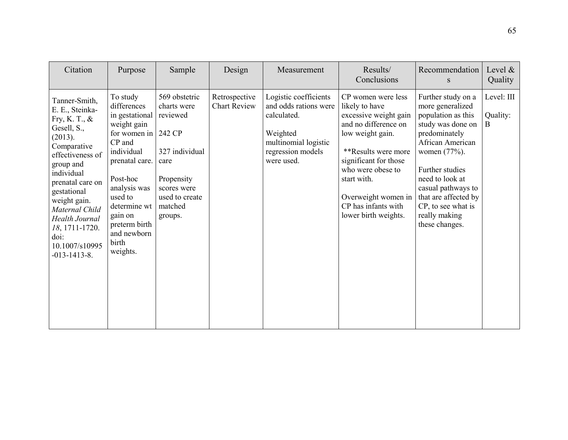| Citation                                                                                                                                                                                                                                                                                                      | Purpose                                                                                                                                                                                                                                   | Sample                                                                                                                                            | Design                               | Measurement                                                                                                                          | Results/<br>Conclusions                                                                                                                                                                                                                                             | Recommendation<br><sub>S</sub>                                                                                                                                                                                                                                                      | Level $\&$<br>Quality       |
|---------------------------------------------------------------------------------------------------------------------------------------------------------------------------------------------------------------------------------------------------------------------------------------------------------------|-------------------------------------------------------------------------------------------------------------------------------------------------------------------------------------------------------------------------------------------|---------------------------------------------------------------------------------------------------------------------------------------------------|--------------------------------------|--------------------------------------------------------------------------------------------------------------------------------------|---------------------------------------------------------------------------------------------------------------------------------------------------------------------------------------------------------------------------------------------------------------------|-------------------------------------------------------------------------------------------------------------------------------------------------------------------------------------------------------------------------------------------------------------------------------------|-----------------------------|
| Tanner-Smith,<br>E. E., Steinka-<br>Fry, K. T., $\&$<br>Gesell, S.,<br>(2013).<br>Comparative<br>effectiveness of<br>group and<br>individual<br>prenatal care on<br>gestational<br>weight gain.<br>Maternal Child<br><b>Health Journal</b><br>18, 1711-1720.<br>doi:<br>10.1007/s10995<br>$-013 - 1413 - 8$ . | To study<br>differences<br>in gestational<br>weight gain<br>for women in<br>CP and<br>individual<br>prenatal care.<br>Post-hoc<br>analysis was<br>used to<br>determine wt<br>gain on<br>preterm birth<br>and newborn<br>birth<br>weights. | 569 obstetric<br>charts were<br>reviewed<br>242 CP<br>327 individual<br>care<br>Propensity<br>scores were<br>used to create<br>matched<br>groups. | Retrospective<br><b>Chart Review</b> | Logistic coefficients<br>and odds rations were<br>calculated.<br>Weighted<br>multinomial logistic<br>regression models<br>were used. | CP women were less<br>likely to have<br>excessive weight gain<br>and no difference on<br>low weight gain.<br>**Results were more<br>significant for those<br>who were obese to<br>start with.<br>Overweight women in<br>CP has infants with<br>lower birth weights. | Further study on a<br>more generalized<br>population as this<br>study was done on<br>predominately<br>African American<br>women (77%).<br>Further studies<br>need to look at<br>casual pathways to<br>that are affected by<br>CP, to see what is<br>really making<br>these changes. | Level: III<br>Quality:<br>B |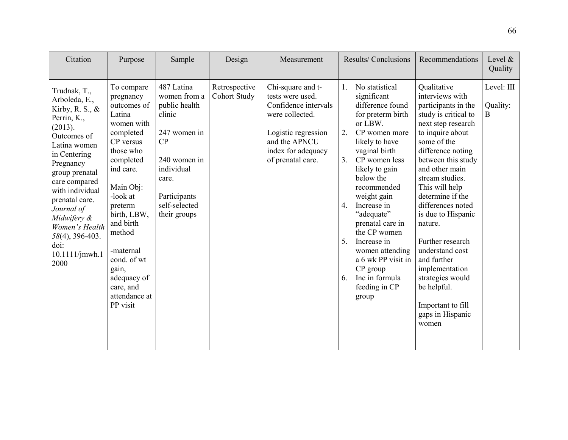| Citation                                                                                                                                                                                                                                                                                                                 | Purpose                                                                                                                                                                                                                                                                                                 | Sample                                                                                                                                                              | Design                               | Measurement                                                                                                                                                         | Results/Conclusions                                                                                                                                                                                                                                                                                                                                                                                                                                             | Recommendations                                                                                                                                                                                                                                                                                                                                                                                                                                                                 | Level $\&$<br>Quality       |
|--------------------------------------------------------------------------------------------------------------------------------------------------------------------------------------------------------------------------------------------------------------------------------------------------------------------------|---------------------------------------------------------------------------------------------------------------------------------------------------------------------------------------------------------------------------------------------------------------------------------------------------------|---------------------------------------------------------------------------------------------------------------------------------------------------------------------|--------------------------------------|---------------------------------------------------------------------------------------------------------------------------------------------------------------------|-----------------------------------------------------------------------------------------------------------------------------------------------------------------------------------------------------------------------------------------------------------------------------------------------------------------------------------------------------------------------------------------------------------------------------------------------------------------|---------------------------------------------------------------------------------------------------------------------------------------------------------------------------------------------------------------------------------------------------------------------------------------------------------------------------------------------------------------------------------------------------------------------------------------------------------------------------------|-----------------------------|
| Trudnak, T.,<br>Arboleda, E.,<br>Kirby, R. S., $\&$<br>Perrin, K.,<br>(2013).<br>Outcomes of<br>Latina women<br>in Centering<br>Pregnancy<br>group prenatal<br>care compared<br>with individual<br>prenatal care.<br>Journal of<br>Midwifery &<br>Women's Health<br>58(4), 396-403.<br>doi:<br>$10.1111/$ jmwh.1<br>2000 | To compare<br>pregnancy<br>outcomes of<br>Latina<br>women with<br>completed<br>CP versus<br>those who<br>completed<br>ind care.<br>Main Obj:<br>-look at<br>preterm<br>birth, LBW,<br>and birth<br>method<br>-maternal<br>cond. of wt<br>gain,<br>adequacy of<br>care, and<br>attendance at<br>PP visit | 487 Latina<br>women from a<br>public health<br>clinic<br>247 women in<br>CP<br>240 women in<br>individual<br>care.<br>Participants<br>self-selected<br>their groups | Retrospective<br><b>Cohort Study</b> | Chi-square and t-<br>tests were used.<br>Confidence intervals<br>were collected.<br>Logistic regression<br>and the APNCU<br>index for adequacy<br>of prenatal care. | No statistical<br>$1_{\cdot}$<br>significant<br>difference found<br>for preterm birth<br>or LBW.<br>2.<br>CP women more<br>likely to have<br>vaginal birth<br>3 <sub>1</sub><br>CP women less<br>likely to gain<br>below the<br>recommended<br>weight gain<br>4.<br>Increase in<br>"adequate"<br>prenatal care in<br>the CP women<br>5.<br>Increase in<br>women attending<br>a 6 wk PP visit in<br>$CP$ group<br>6.<br>Inc in formula<br>feeding in CP<br>group | Qualitative<br>interviews with<br>participants in the<br>study is critical to<br>next step research<br>to inquire about<br>some of the<br>difference noting<br>between this study<br>and other main<br>stream studies.<br>This will help<br>determine if the<br>differences noted<br>is due to Hispanic<br>nature.<br>Further research<br>understand cost<br>and further<br>implementation<br>strategies would<br>be helpful.<br>Important to fill<br>gaps in Hispanic<br>women | Level: III<br>Quality:<br>B |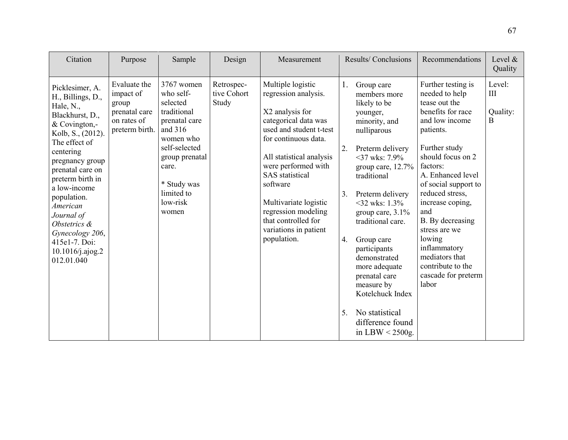| Citation                                                                                                                                                                                                                                                                                                                                           | Purpose                                                                              | Sample                                                                                                                                                                                    | Design                             | Measurement                                                                                                                                                                                                                                                                                                                                     |                            | <b>Results/Conclusions</b>                                                                                                                                                                                                                                                                                                                                                                                                       | Recommendations                                                                                                                                                                                                                                                                                                                                                                              | Level $\&$<br>Quality        |
|----------------------------------------------------------------------------------------------------------------------------------------------------------------------------------------------------------------------------------------------------------------------------------------------------------------------------------------------------|--------------------------------------------------------------------------------------|-------------------------------------------------------------------------------------------------------------------------------------------------------------------------------------------|------------------------------------|-------------------------------------------------------------------------------------------------------------------------------------------------------------------------------------------------------------------------------------------------------------------------------------------------------------------------------------------------|----------------------------|----------------------------------------------------------------------------------------------------------------------------------------------------------------------------------------------------------------------------------------------------------------------------------------------------------------------------------------------------------------------------------------------------------------------------------|----------------------------------------------------------------------------------------------------------------------------------------------------------------------------------------------------------------------------------------------------------------------------------------------------------------------------------------------------------------------------------------------|------------------------------|
| Picklesimer, A.<br>H., Billings, D.,<br>Hale, N.,<br>Blackhurst, D.,<br>& Covington,-<br>Kolb, S., (2012).<br>The effect of<br>centering<br>pregnancy group<br>prenatal care on<br>preterm birth in<br>a low-income<br>population.<br>American<br>Journal of<br>Obstetrics &<br>Gynecology 206,<br>415e1-7. Doi:<br>10.1016/j.ajog.2<br>012.01.040 | Evaluate the<br>impact of<br>group<br>prenatal care<br>on rates of<br>preterm birth. | 3767 women<br>who self-<br>selected<br>traditional<br>prenatal care<br>and 316<br>women who<br>self-selected<br>group prenatal<br>care.<br>* Study was<br>limited to<br>low-risk<br>women | Retrospec-<br>tive Cohort<br>Study | Multiple logistic<br>regression analysis.<br>X2 analysis for<br>categorical data was<br>used and student t-test<br>for continuous data.<br>All statistical analysis<br>were performed with<br><b>SAS</b> statistical<br>software<br>Multivariate logistic<br>regression modeling<br>that controlled for<br>variations in patient<br>population. | 1.<br>2.<br>3.<br>4.<br>5. | Group care<br>members more<br>likely to be<br>younger,<br>minority, and<br>nulliparous<br>Preterm delivery<br>$37$ wks: 7.9%<br>group care, 12.7%<br>traditional<br>Preterm delivery<br>$<32$ wks: 1.3%<br>group care, $3.1\%$<br>traditional care.<br>Group care<br>participants<br>demonstrated<br>more adequate<br>prenatal care<br>measure by<br>Kotelchuck Index<br>No statistical<br>difference found<br>in LBW $<$ 2500g. | Further testing is<br>needed to help<br>tease out the<br>benefits for race<br>and low income<br>patients.<br>Further study<br>should focus on 2<br>factors:<br>A. Enhanced level<br>of social support to<br>reduced stress,<br>increase coping,<br>and<br>B. By decreasing<br>stress are we<br>lowing<br>inflammatory<br>mediators that<br>contribute to the<br>cascade for preterm<br>labor | Level:<br>Ш<br>Quality:<br>B |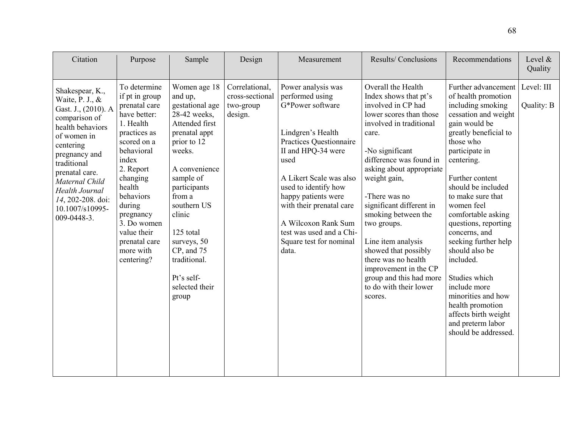| Citation                                                                                                                                                                                                                                                                       | Purpose                                                                                                                                                                                                                                                                             | Sample                                                                                                                                                                                                                                                                                                     | Design                                                    | Measurement                                                                                                                                                                                                                                                                                                                          | <b>Results/Conclusions</b>                                                                                                                                                                                                                                                                                                                                                                                                                                                  | Recommendations                                                                                                                                                                                                                                                                                                                                                                                                                                                                                                                  | Level $\&$<br>Quality    |
|--------------------------------------------------------------------------------------------------------------------------------------------------------------------------------------------------------------------------------------------------------------------------------|-------------------------------------------------------------------------------------------------------------------------------------------------------------------------------------------------------------------------------------------------------------------------------------|------------------------------------------------------------------------------------------------------------------------------------------------------------------------------------------------------------------------------------------------------------------------------------------------------------|-----------------------------------------------------------|--------------------------------------------------------------------------------------------------------------------------------------------------------------------------------------------------------------------------------------------------------------------------------------------------------------------------------------|-----------------------------------------------------------------------------------------------------------------------------------------------------------------------------------------------------------------------------------------------------------------------------------------------------------------------------------------------------------------------------------------------------------------------------------------------------------------------------|----------------------------------------------------------------------------------------------------------------------------------------------------------------------------------------------------------------------------------------------------------------------------------------------------------------------------------------------------------------------------------------------------------------------------------------------------------------------------------------------------------------------------------|--------------------------|
| Shakespear, K.,<br>Waite, P. J., &<br>Gast. J., (2010). A<br>comparison of<br>health behaviors<br>of women in<br>centering<br>pregnancy and<br>traditional<br>prenatal care.<br>Maternal Child<br><b>Health Journal</b><br>14, 202-208. doi:<br>10.1007/s10995-<br>009-0448-3. | To determine<br>if pt in group<br>prenatal care<br>have better:<br>1. Health<br>practices as<br>scored on a<br>behavioral<br>index<br>2. Report<br>changing<br>health<br>behaviors<br>during<br>pregnancy<br>3. Do women<br>value their<br>prenatal care<br>more with<br>centering? | Women age 18<br>and up,<br>gestational age<br>28-42 weeks,<br>Attended first<br>prenatal appt<br>prior to 12<br>weeks.<br>A convenience<br>sample of<br>participants<br>from a<br>southern US<br>clinic<br>125 total<br>surveys, 50<br>CP, and 75<br>traditional.<br>Pt's self-<br>selected their<br>group | Correlational,<br>cross-sectional<br>two-group<br>design. | Power analysis was<br>performed using<br>G*Power software<br>Lindgren's Health<br>Practices Questionnaire<br>II and HPQ-34 were<br>used<br>A Likert Scale was also<br>used to identify how<br>happy patients were<br>with their prenatal care<br>A Wilcoxon Rank Sum<br>test was used and a Chi-<br>Square test for nominal<br>data. | Overall the Health<br>Index shows that pt's<br>involved in CP had<br>lower scores than those<br>involved in traditional<br>care.<br>-No significant<br>difference was found in<br>asking about appropriate<br>weight gain,<br>-There was no<br>significant different in<br>smoking between the<br>two groups.<br>Line item analysis<br>showed that possibly<br>there was no health<br>improvement in the CP<br>group and this had more<br>to do with their lower<br>scores. | Further advancement<br>of health promotion<br>including smoking<br>cessation and weight<br>gain would be<br>greatly beneficial to<br>those who<br>participate in<br>centering.<br>Further content<br>should be included<br>to make sure that<br>women feel<br>comfortable asking<br>questions, reporting<br>concerns, and<br>seeking further help<br>should also be<br>included.<br>Studies which<br>include more<br>minorities and how<br>health promotion<br>affects birth weight<br>and preterm labor<br>should be addressed. | Level: III<br>Quality: B |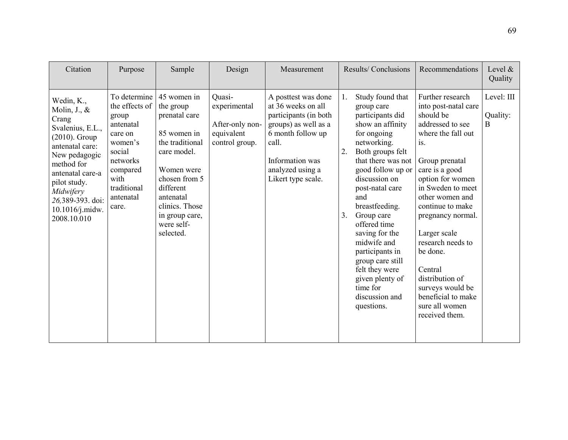| Citation                                                                                                                                                                                                                                          | Purpose                                                                                                                                                   | Sample                                                                                                                                                                                                             | Design                                                                    | Measurement                                                                                                                                                                           | Results/Conclusions                                                                                                                                                                                                                                                                                                                                                                                                                       | Recommendations                                                                                                                                                                                                                                                                                                                                                                                              | Level $\&$<br>Quality       |
|---------------------------------------------------------------------------------------------------------------------------------------------------------------------------------------------------------------------------------------------------|-----------------------------------------------------------------------------------------------------------------------------------------------------------|--------------------------------------------------------------------------------------------------------------------------------------------------------------------------------------------------------------------|---------------------------------------------------------------------------|---------------------------------------------------------------------------------------------------------------------------------------------------------------------------------------|-------------------------------------------------------------------------------------------------------------------------------------------------------------------------------------------------------------------------------------------------------------------------------------------------------------------------------------------------------------------------------------------------------------------------------------------|--------------------------------------------------------------------------------------------------------------------------------------------------------------------------------------------------------------------------------------------------------------------------------------------------------------------------------------------------------------------------------------------------------------|-----------------------------|
| Wedin, K.,<br>Molin, $J_{\cdot}$ , $\&$<br>Crang<br>Svalenius, E.L.,<br>$(2010)$ . Group<br>antenatal care:<br>New pedagogic<br>method for<br>antenatal care-a<br>pilot study.<br>Midwifery<br>26,389-393. doi:<br>10.1016/j.midw.<br>2008.10.010 | To determine<br>the effects of<br>group<br>antenatal<br>care on<br>women's<br>social<br>networks<br>compared<br>with<br>traditional<br>antenatal<br>care. | 45 women in<br>the group<br>prenatal care<br>85 women in<br>the traditional<br>care model.<br>Women were<br>chosen from 5<br>different<br>antenatal<br>clinics. Those<br>in group care,<br>were self-<br>selected. | Quasi-<br>experimental<br>After-only non-<br>equivalent<br>control group. | A posttest was done<br>at 36 weeks on all<br>participants (in both<br>groups) as well as a<br>6 month follow up<br>call.<br>Information was<br>analyzed using a<br>Likert type scale. | Study found that<br>1.<br>group care<br>participants did<br>show an affinity<br>for ongoing<br>networking.<br>2.<br>Both groups felt<br>that there was not<br>good follow up or<br>discussion on<br>post-natal care<br>and<br>breastfeeding.<br>3.<br>Group care<br>offered time<br>saving for the<br>midwife and<br>participants in<br>group care still<br>felt they were<br>given plenty of<br>time for<br>discussion and<br>questions. | Further research<br>into post-natal care<br>should be<br>addressed to see<br>where the fall out<br>is.<br>Group prenatal<br>care is a good<br>option for women<br>in Sweden to meet<br>other women and<br>continue to make<br>pregnancy normal.<br>Larger scale<br>research needs to<br>be done.<br>Central<br>distribution of<br>surveys would be<br>beneficial to make<br>sure all women<br>received them. | Level: III<br>Quality:<br>B |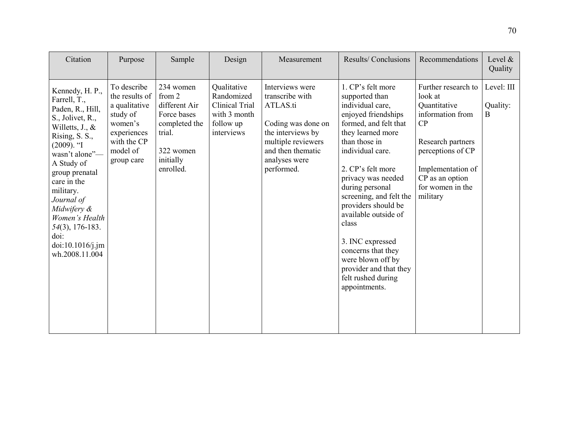| Citation                                                                                                                                                                                                                                                                                                                                    | Purpose                                                                                                                                     | Sample                                                                                                      | Design                                                                                 | Measurement                                                                                                                                                         | Results/Conclusions                                                                                                                                                                                                                                                                                                                                                                                                                                | Recommendations                                                                                                                                                                            | Level &<br>Quality          |
|---------------------------------------------------------------------------------------------------------------------------------------------------------------------------------------------------------------------------------------------------------------------------------------------------------------------------------------------|---------------------------------------------------------------------------------------------------------------------------------------------|-------------------------------------------------------------------------------------------------------------|----------------------------------------------------------------------------------------|---------------------------------------------------------------------------------------------------------------------------------------------------------------------|----------------------------------------------------------------------------------------------------------------------------------------------------------------------------------------------------------------------------------------------------------------------------------------------------------------------------------------------------------------------------------------------------------------------------------------------------|--------------------------------------------------------------------------------------------------------------------------------------------------------------------------------------------|-----------------------------|
| Kennedy, H. P.,<br>Farrell, T.,<br>Paden, R., Hill,<br>S., Jolivet, R.,<br>Willetts, $J_{\cdot}$ , $\&$<br>Rising, S. S.,<br>$(2009)$ . "I<br>wasn't alone"-<br>A Study of<br>group prenatal<br>care in the<br>military.<br>Journal of<br>Midwifery &<br>Women's Health<br>$54(3)$ , 176-183.<br>doi:<br>doi:10.1016/j.jm<br>wh.2008.11.004 | To describe<br>the results of $\mid$ from 2<br>a qualitative<br>study of<br>women's<br>experiences<br>with the CP<br>model of<br>group care | 234 women<br>different Air<br>Force bases<br>completed the<br>trial.<br>322 women<br>initially<br>enrolled. | Qualitative<br>Randomized<br>Clinical Trial<br>with 3 month<br>follow up<br>interviews | Interviews were<br>transcribe with<br>ATLAS.ti<br>Coding was done on<br>the interviews by<br>multiple reviewers<br>and then thematic<br>analyses were<br>performed. | 1. CP's felt more<br>supported than<br>individual care,<br>enjoyed friendships<br>formed, and felt that<br>they learned more<br>than those in<br>individual care.<br>2. CP's felt more<br>privacy was needed<br>during personal<br>screening, and felt the<br>providers should be<br>available outside of<br>class<br>3. INC expressed<br>concerns that they<br>were blown off by<br>provider and that they<br>felt rushed during<br>appointments. | Further research to<br>look at<br>Quantitative<br>information from<br>CP<br>Research partners<br>perceptions of CP<br>Implementation of<br>CP as an option<br>for women in the<br>military | Level: III<br>Quality:<br>B |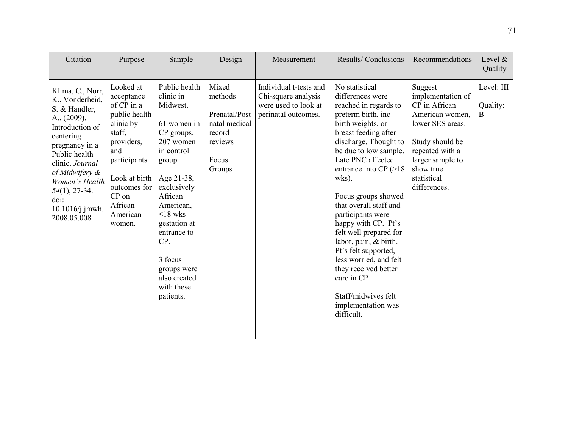| Citation                                                                                                                                                                                                                                                        | Purpose                                                                                                                                                                                       | Sample                                                                                                                                                                                                                                                                                    | Design                                                                                     | Measurement                                                                                  | Results/Conclusions                                                                                                                                                                                                                                                                                                                                                                                                                                                                                                                          | Recommendations                                                                                                                                                                            | Level $\&$<br>Quality                 |
|-----------------------------------------------------------------------------------------------------------------------------------------------------------------------------------------------------------------------------------------------------------------|-----------------------------------------------------------------------------------------------------------------------------------------------------------------------------------------------|-------------------------------------------------------------------------------------------------------------------------------------------------------------------------------------------------------------------------------------------------------------------------------------------|--------------------------------------------------------------------------------------------|----------------------------------------------------------------------------------------------|----------------------------------------------------------------------------------------------------------------------------------------------------------------------------------------------------------------------------------------------------------------------------------------------------------------------------------------------------------------------------------------------------------------------------------------------------------------------------------------------------------------------------------------------|--------------------------------------------------------------------------------------------------------------------------------------------------------------------------------------------|---------------------------------------|
| Klima, C., Norr,<br>K., Vonderheid,<br>S. & Handler,<br>$A_{.,}$ (2009).<br>Introduction of<br>centering<br>pregnancy in a<br>Public health<br>clinic. Journal<br>of Midwifery &<br>Women's Health<br>$54(1), 27-34.$<br>doi:<br>10.1016/j.jmwh.<br>2008.05.008 | Looked at<br>acceptance<br>of CP in a<br>public health<br>clinic by<br>staff,<br>providers,<br>and<br>participants<br>Look at birth<br>outcomes for<br>CP on<br>African<br>American<br>women. | Public health<br>clinic in<br>Midwest.<br>61 women in<br>CP groups.<br>207 women<br>in control<br>group.<br>Age 21-38,<br>exclusively<br>African<br>American,<br>$\leq$ 18 wks<br>gestation at<br>entrance to<br>CP.<br>3 focus<br>groups were<br>also created<br>with these<br>patients. | Mixed<br>methods<br>Prenatal/Post<br>natal medical<br>record<br>reviews<br>Focus<br>Groups | Individual t-tests and<br>Chi-square analysis<br>were used to look at<br>perinatal outcomes. | No statistical<br>differences were<br>reached in regards to<br>preterm birth, inc<br>birth weights, or<br>breast feeding after<br>discharge. Thought to<br>be due to low sample.<br>Late PNC affected<br>entrance into $CP (>18$<br>wks).<br>Focus groups showed<br>that overall staff and<br>participants were<br>happy with CP. Pt's<br>felt well prepared for<br>labor, pain, & birth.<br>Pt's felt supported,<br>less worried, and felt<br>they received better<br>care in CP<br>Staff/midwives felt<br>implementation was<br>difficult. | Suggest<br>implementation of<br>CP in African<br>American women,<br>lower SES areas.<br>Study should be<br>repeated with a<br>larger sample to<br>show true<br>statistical<br>differences. | Level: III<br>Quality:<br>$\mathbf B$ |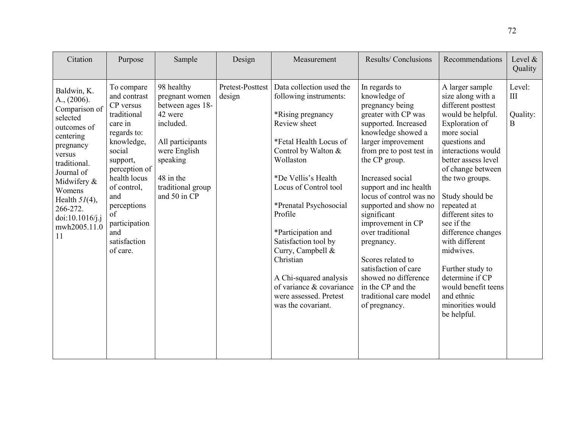| Citation                                                                                                                                                                                                                                        | Purpose                                                                                                                                                                                                                                                      | Sample                                                                                                                                                                     | Design                     | Measurement                                                                                                                                                                                                                                                                                                                                                                                                                      | Results/Conclusions                                                                                                                                                                                                                                                                                                                                                                                                                                                                                   | Recommendations                                                                                                                                                                                                                                                                                                                                                                                                                                                  | Level $\&$<br>Quality                |
|-------------------------------------------------------------------------------------------------------------------------------------------------------------------------------------------------------------------------------------------------|--------------------------------------------------------------------------------------------------------------------------------------------------------------------------------------------------------------------------------------------------------------|----------------------------------------------------------------------------------------------------------------------------------------------------------------------------|----------------------------|----------------------------------------------------------------------------------------------------------------------------------------------------------------------------------------------------------------------------------------------------------------------------------------------------------------------------------------------------------------------------------------------------------------------------------|-------------------------------------------------------------------------------------------------------------------------------------------------------------------------------------------------------------------------------------------------------------------------------------------------------------------------------------------------------------------------------------------------------------------------------------------------------------------------------------------------------|------------------------------------------------------------------------------------------------------------------------------------------------------------------------------------------------------------------------------------------------------------------------------------------------------------------------------------------------------------------------------------------------------------------------------------------------------------------|--------------------------------------|
| Baldwin, K.<br>$A_{.,}$ (2006).<br>Comparison of<br>selected<br>outcomes of<br>centering<br>pregnancy<br>versus<br>traditional.<br>Journal of<br>Midwifery &<br>Womens<br>Health $5I(4)$ ,<br>266-272.<br>doi:10.1016/j.j<br>mwh2005.11.0<br>11 | To compare<br>and contrast<br>CP versus<br>traditional<br>care in<br>regards to:<br>knowledge,<br>social<br>support,<br>perception of<br>health locus<br>of control,<br>and<br>perceptions<br>$\alpha$ f<br>participation<br>and<br>satisfaction<br>of care. | 98 healthy<br>pregnant women<br>between ages 18-<br>42 were<br>included.<br>All participants<br>were English<br>speaking<br>48 in the<br>traditional group<br>and 50 in CP | Pretest-Posttest<br>design | Data collection used the<br>following instruments:<br>*Rising pregnancy<br>Review sheet<br>*Fetal Health Locus of<br>Control by Walton &<br>Wollaston<br>*De Vellis's Health<br>Locus of Control tool<br>*Prenatal Psychosocial<br>Profile<br>*Participation and<br>Satisfaction tool by<br>Curry, Campbell &<br>Christian<br>A Chi-squared analysis<br>of variance & covariance<br>were assessed. Pretest<br>was the covariant. | In regards to<br>knowledge of<br>pregnancy being<br>greater with CP was<br>supported. Increased<br>knowledge showed a<br>larger improvement<br>from pre to post test in<br>the CP group.<br>Increased social<br>support and inc health<br>locus of control was no<br>supported and show no<br>significant<br>improvement in CP<br>over traditional<br>pregnancy.<br>Scores related to<br>satisfaction of care<br>showed no difference<br>in the CP and the<br>traditional care model<br>of pregnancy. | A larger sample<br>size along with a<br>different posttest<br>would be helpful.<br>Exploration of<br>more social<br>questions and<br>interactions would<br>better assess level<br>of change between<br>the two groups.<br>Study should be<br>repeated at<br>different sites to<br>see if the<br>difference changes<br>with different<br>midwives.<br>Further study to<br>determine if CP<br>would benefit teens<br>and ethnic<br>minorities would<br>be helpful. | Level:<br>$\rm III$<br>Quality:<br>B |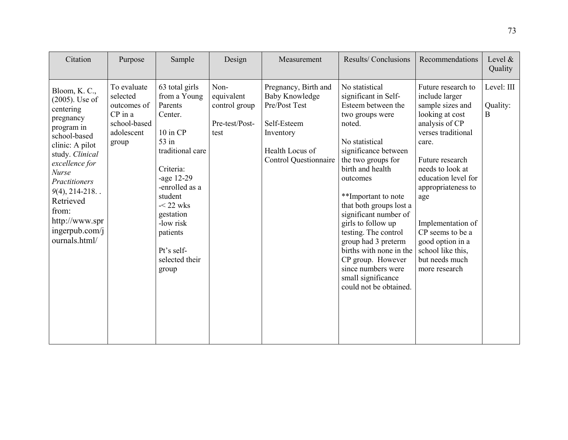| Citation                                                                                                                                                                                                                                                                              | Purpose                                                                                    | Sample                                                                                                                                                                                                                                                    | Design                                                        | Measurement                                                                                                                                   | Results/Conclusions                                                                                                                                                                                                                                                                                                                                                                                                                                             | Recommendations                                                                                                                                                                                                                                                                                                                              | Level $\&$<br>Quality       |
|---------------------------------------------------------------------------------------------------------------------------------------------------------------------------------------------------------------------------------------------------------------------------------------|--------------------------------------------------------------------------------------------|-----------------------------------------------------------------------------------------------------------------------------------------------------------------------------------------------------------------------------------------------------------|---------------------------------------------------------------|-----------------------------------------------------------------------------------------------------------------------------------------------|-----------------------------------------------------------------------------------------------------------------------------------------------------------------------------------------------------------------------------------------------------------------------------------------------------------------------------------------------------------------------------------------------------------------------------------------------------------------|----------------------------------------------------------------------------------------------------------------------------------------------------------------------------------------------------------------------------------------------------------------------------------------------------------------------------------------------|-----------------------------|
| Bloom, K. C.,<br>$(2005)$ . Use of<br>centering<br>pregnancy<br>program in<br>school-based<br>clinic: A pilot<br>study. Clinical<br>excellence for<br><b>Nurse</b><br>Practitioners<br>$9(4)$ , 214-218<br>Retrieved<br>from:<br>http://www.spr<br>ingerpub.com/ $j$<br>ournals.html/ | To evaluate<br>selected<br>outcomes of<br>$CP$ in a<br>school-based<br>adolescent<br>group | 63 total girls<br>from a Young<br>Parents<br>Center.<br>$10$ in $CP$<br>$53$ in<br>traditional care<br>Criteria:<br>-age $12-29$<br>-enrolled as a<br>student<br>$-22$ wks<br>gestation<br>-low risk<br>patients<br>Pt's self-<br>selected their<br>group | Non-<br>equivalent<br>control group<br>Pre-test/Post-<br>test | Pregnancy, Birth and<br><b>Baby Knowledge</b><br>Pre/Post Test<br>Self-Esteem<br>Inventory<br>Health Locus of<br><b>Control Questionnaire</b> | No statistical<br>significant in Self-<br>Esteem between the<br>two groups were<br>noted.<br>No statistical<br>significance between<br>the two groups for<br>birth and health<br>outcomes<br>**Important to note<br>that both groups lost a<br>significant number of<br>girls to follow up<br>testing. The control<br>group had 3 preterm<br>births with none in the<br>CP group. However<br>since numbers were<br>small significance<br>could not be obtained. | Future research to<br>include larger<br>sample sizes and<br>looking at cost<br>analysis of CP<br>verses traditional<br>care.<br>Future research<br>needs to look at<br>education level for<br>appropriateness to<br>age<br>Implementation of<br>CP seems to be a<br>good option in a<br>school like this,<br>but needs much<br>more research | Level: III<br>Quality:<br>B |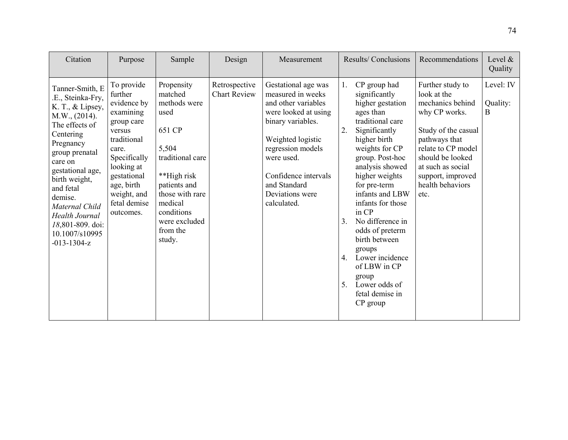| Citation                                                                                                                                                                                                                                                                                                          | Purpose                                                                                                                                                                                                  | Sample                                                                                                                                                                                                 | Design                               | Measurement                                                                                                                                                                                                                                    |                                        | Results/Conclusions                                                                                                                                                                                                                                                                                                                                                                                                          | Recommendations                                                                                                                                                                                                              | Level $\&$<br>Quality      |
|-------------------------------------------------------------------------------------------------------------------------------------------------------------------------------------------------------------------------------------------------------------------------------------------------------------------|----------------------------------------------------------------------------------------------------------------------------------------------------------------------------------------------------------|--------------------------------------------------------------------------------------------------------------------------------------------------------------------------------------------------------|--------------------------------------|------------------------------------------------------------------------------------------------------------------------------------------------------------------------------------------------------------------------------------------------|----------------------------------------|------------------------------------------------------------------------------------------------------------------------------------------------------------------------------------------------------------------------------------------------------------------------------------------------------------------------------------------------------------------------------------------------------------------------------|------------------------------------------------------------------------------------------------------------------------------------------------------------------------------------------------------------------------------|----------------------------|
| Tanner-Smith, E<br>.E., Steinka-Fry,<br>K. T., & Lipsey,<br>M.W., (2014).<br>The effects of<br>Centering<br>Pregnancy<br>group prenatal<br>care on<br>gestational age,<br>birth weight,<br>and fetal<br>demise.<br>Maternal Child<br><b>Health Journal</b><br>18,801-809. doi:<br>10.1007/s10995<br>$-013-1304-z$ | To provide<br>further<br>evidence by<br>examining<br>group care<br>versus<br>traditional<br>care.<br>Specifically<br>looking at<br>gestational<br>age, birth<br>weight, and<br>fetal demise<br>outcomes. | Propensity<br>matched<br>methods were<br>used<br>651 CP<br>5,504<br>traditional care<br>**High risk<br>patients and<br>those with rare<br>medical<br>conditions<br>were excluded<br>from the<br>study. | Retrospective<br><b>Chart Review</b> | Gestational age was<br>measured in weeks<br>and other variables<br>were looked at using<br>binary variables.<br>Weighted logistic<br>regression models<br>were used.<br>Confidence intervals<br>and Standard<br>Deviations were<br>calculated. | 1.<br>2.<br>3 <sub>1</sub><br>4.<br>5. | CP group had<br>significantly<br>higher gestation<br>ages than<br>traditional care<br>Significantly<br>higher birth<br>weights for CP<br>group. Post-hoc<br>analysis showed<br>higher weights<br>for pre-term<br>infants and LBW<br>infants for those<br>in CP<br>No difference in<br>odds of preterm<br>birth between<br>groups<br>Lower incidence<br>of LBW in CP<br>group<br>Lower odds of<br>fetal demise in<br>CP group | Further study to<br>look at the<br>mechanics behind<br>why CP works.<br>Study of the casual<br>pathways that<br>relate to CP model<br>should be looked<br>at such as social<br>support, improved<br>health behaviors<br>etc. | Level: IV<br>Quality:<br>B |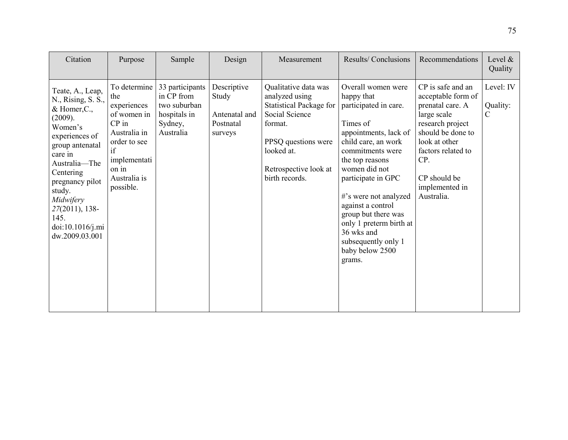| Citation                                                                                                                                                                                                                                                                            | Purpose                                                                                                                                                  | Sample                                                                                | Design                                                        | Measurement                                                                                                                                                                           | Results/Conclusions                                                                                                                                                                                                                                                                                                                                                   | Recommendations                                                                                                                                                                                                   | Level $\&$<br>Quality                  |
|-------------------------------------------------------------------------------------------------------------------------------------------------------------------------------------------------------------------------------------------------------------------------------------|----------------------------------------------------------------------------------------------------------------------------------------------------------|---------------------------------------------------------------------------------------|---------------------------------------------------------------|---------------------------------------------------------------------------------------------------------------------------------------------------------------------------------------|-----------------------------------------------------------------------------------------------------------------------------------------------------------------------------------------------------------------------------------------------------------------------------------------------------------------------------------------------------------------------|-------------------------------------------------------------------------------------------------------------------------------------------------------------------------------------------------------------------|----------------------------------------|
| Teate, A., Leap,<br>N., Rising, S. S.,<br>$&$ Homer, $C_{\cdot}$ ,<br>(2009).<br>Women's<br>experiences of<br>group antenatal<br>care in<br>Australia-The<br>Centering<br>pregnancy pilot<br>study.<br>Midwifery<br>$27(2011)$ , 138-<br>145.<br>doi:10.1016/j.mi<br>dw.2009.03.001 | To determine<br>the<br>experiences<br>of women in<br>$CP$ in<br>Australia in<br>order to see<br>if<br>implementati<br>on in<br>Australia is<br>possible. | 33 participants<br>in CP from<br>two suburban<br>hospitals in<br>Sydney,<br>Australia | Descriptive<br>Study<br>Antenatal and<br>Postnatal<br>surveys | Qualitative data was<br>analyzed using<br><b>Statistical Package for</b><br>Social Science<br>format.<br>PPSQ questions were<br>looked at.<br>Retrospective look at<br>birth records. | Overall women were<br>happy that<br>participated in care.<br>Times of<br>appointments, lack of<br>child care, an work<br>commitments were<br>the top reasons<br>women did not<br>participate in GPC<br>#'s were not analyzed<br>against a control<br>group but there was<br>only 1 preterm birth at<br>36 wks and<br>subsequently only 1<br>baby below 2500<br>grams. | CP is safe and an<br>acceptable form of<br>prenatal care. A<br>large scale<br>research project<br>should be done to<br>look at other<br>factors related to<br>CP.<br>CP should be<br>implemented in<br>Australia. | Level: IV<br>Quality:<br>$\mathcal{C}$ |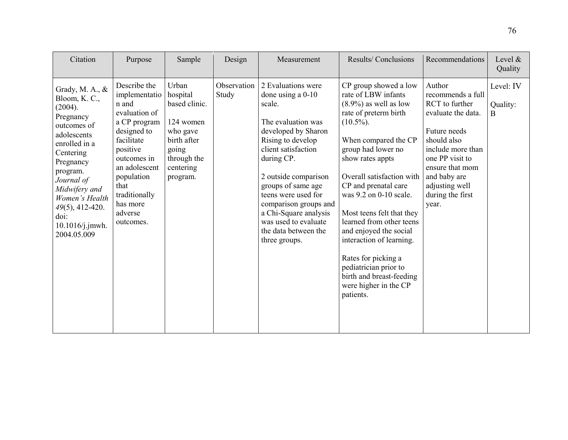| Citation                                                                                                                                                                                                                                                            | Purpose                                                                                                                                                                                                                     | Sample                                                                                                                      | Design               | Measurement                                                                                                                                                                                                                                                                                                                                        | Results/Conclusions                                                                                                                                                                                                                                                                                                                                                                                                                                                                                 | Recommendations                                                                                                                                                                                                              | Level &<br>Quality                    |
|---------------------------------------------------------------------------------------------------------------------------------------------------------------------------------------------------------------------------------------------------------------------|-----------------------------------------------------------------------------------------------------------------------------------------------------------------------------------------------------------------------------|-----------------------------------------------------------------------------------------------------------------------------|----------------------|----------------------------------------------------------------------------------------------------------------------------------------------------------------------------------------------------------------------------------------------------------------------------------------------------------------------------------------------------|-----------------------------------------------------------------------------------------------------------------------------------------------------------------------------------------------------------------------------------------------------------------------------------------------------------------------------------------------------------------------------------------------------------------------------------------------------------------------------------------------------|------------------------------------------------------------------------------------------------------------------------------------------------------------------------------------------------------------------------------|---------------------------------------|
| Grady, M. A., $\&$<br>Bloom, K.C.,<br>(2004).<br>Pregnancy<br>outcomes of<br>adolescents<br>enrolled in a<br>Centering<br>Pregnancy<br>program.<br>Journal of<br>Midwifery and<br>Women's Health<br>$49(5)$ , 412-420.<br>doi:<br>$10.1016$ /j.jmwh.<br>2004.05.009 | Describe the<br>implementatio<br>n and<br>evaluation of<br>a CP program<br>designed to<br>facilitate<br>positive<br>outcomes in<br>an adolescent<br>population<br>that<br>traditionally<br>has more<br>adverse<br>outcomes. | Urban<br>hospital<br>based clinic.<br>124 women<br>who gave<br>birth after<br>going<br>through the<br>centering<br>program. | Observation<br>Study | 2 Evaluations were<br>done using a $0-10$<br>scale.<br>The evaluation was<br>developed by Sharon<br>Rising to develop<br>client satisfaction<br>during CP.<br>2 outside comparison<br>groups of same age<br>teens were used for<br>comparison groups and<br>a Chi-Square analysis<br>was used to evaluate<br>the data between the<br>three groups. | CP group showed a low<br>rate of LBW infants<br>$(8.9\%)$ as well as low<br>rate of preterm birth<br>$(10.5\%)$ .<br>When compared the CP<br>group had lower no<br>show rates appts<br>Overall satisfaction with<br>CP and prenatal care<br>was 9.2 on 0-10 scale.<br>Most teens felt that they<br>learned from other teens<br>and enjoyed the social<br>interaction of learning.<br>Rates for picking a<br>pediatrician prior to<br>birth and breast-feeding<br>were higher in the CP<br>patients. | Author<br>recommends a full<br>RCT to further<br>evaluate the data.<br>Future needs<br>should also<br>include more than<br>one PP visit to<br>ensure that mom<br>and baby are<br>adjusting well<br>during the first<br>year. | Level: IV<br>Quality:<br><sub>B</sub> |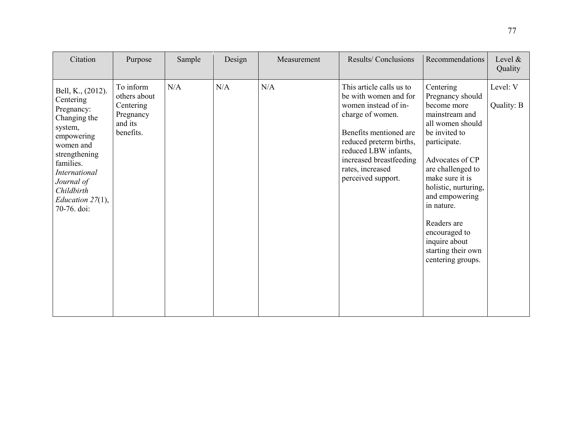| Citation                                                                                                                                                                                                                   | Purpose                                                                     | Sample | Design | Measurement | Results/Conclusions                                                                                                                                                                                                                             | Recommendations                                                                                                                                                                                                                                                                                                                    | Level $&$<br>Quality   |
|----------------------------------------------------------------------------------------------------------------------------------------------------------------------------------------------------------------------------|-----------------------------------------------------------------------------|--------|--------|-------------|-------------------------------------------------------------------------------------------------------------------------------------------------------------------------------------------------------------------------------------------------|------------------------------------------------------------------------------------------------------------------------------------------------------------------------------------------------------------------------------------------------------------------------------------------------------------------------------------|------------------------|
| Bell, K., (2012).<br>Centering<br>Pregnancy:<br>Changing the<br>system,<br>empowering<br>women and<br>strengthening<br>families.<br><b>International</b><br>Journal of<br>Childbirth<br>Education $27(1)$ ,<br>70-76. doi: | To inform<br>others about<br>Centering<br>Pregnancy<br>and its<br>benefits. | N/A    | N/A    | N/A         | This article calls us to<br>be with women and for<br>women instead of in-<br>charge of women.<br>Benefits mentioned are<br>reduced preterm births,<br>reduced LBW infants,<br>increased breastfeeding<br>rates, increased<br>perceived support. | Centering<br>Pregnancy should<br>become more<br>mainstream and<br>all women should<br>be invited to<br>participate.<br>Advocates of CP<br>are challenged to<br>make sure it is<br>holistic, nurturing,<br>and empowering<br>in nature.<br>Readers are<br>encouraged to<br>inquire about<br>starting their own<br>centering groups. | Level: V<br>Quality: B |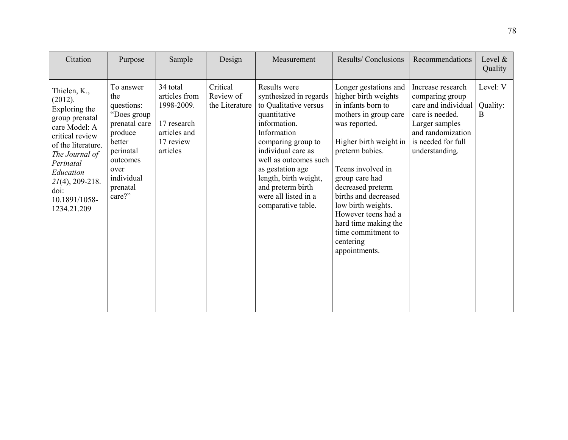| Citation                                                                                                                                                                                                                       | Purpose                                                                                                                                                  | Sample                                                                                          | Design                                  | Measurement                                                                                                                                                                                                                                                                                         | Results/Conclusions                                                                                                                                                                                                                                                                                                                                                     | Recommendations                                                                                                                                               | Level &<br>Quality        |
|--------------------------------------------------------------------------------------------------------------------------------------------------------------------------------------------------------------------------------|----------------------------------------------------------------------------------------------------------------------------------------------------------|-------------------------------------------------------------------------------------------------|-----------------------------------------|-----------------------------------------------------------------------------------------------------------------------------------------------------------------------------------------------------------------------------------------------------------------------------------------------------|-------------------------------------------------------------------------------------------------------------------------------------------------------------------------------------------------------------------------------------------------------------------------------------------------------------------------------------------------------------------------|---------------------------------------------------------------------------------------------------------------------------------------------------------------|---------------------------|
| Thielen, K.,<br>(2012).<br>Exploring the<br>group prenatal<br>care Model: A<br>critical review<br>of the literature.<br>The Journal of<br>Perinatal<br>Education<br>$2I(4)$ , 209-218.<br>doi:<br>10.1891/1058-<br>1234.21.209 | To answer<br>the<br>questions:<br>"Does group<br>prenatal care<br>produce<br>better<br>perinatal<br>outcomes<br>over<br>individual<br>prenatal<br>care?" | 34 total<br>articles from<br>1998-2009.<br>17 research<br>articles and<br>17 review<br>articles | Critical<br>Review of<br>the Literature | Results were<br>synthesized in regards<br>to Qualitative versus<br>quantitative<br>information.<br>Information<br>comparing group to<br>individual care as<br>well as outcomes such<br>as gestation age<br>length, birth weight,<br>and preterm birth<br>were all listed in a<br>comparative table. | Longer gestations and<br>higher birth weights<br>in infants born to<br>mothers in group care<br>was reported.<br>Higher birth weight in<br>preterm babies.<br>Teens involved in<br>group care had<br>decreased preterm<br>births and decreased<br>low birth weights.<br>However teens had a<br>hard time making the<br>time commitment to<br>centering<br>appointments. | Increase research<br>comparing group<br>care and individual<br>care is needed.<br>Larger samples<br>and randomization<br>is needed for full<br>understanding. | Level: V<br>Quality:<br>B |